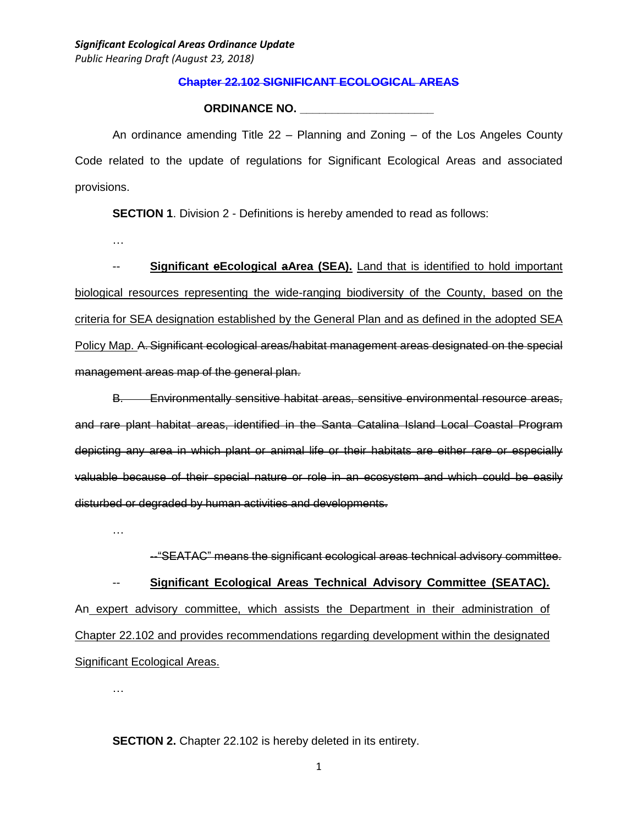### **Chapter 22.102 SIGNIFICANT ECOLOGICAL AREAS**

### **ORDINANCE NO. \_\_\_\_\_\_\_\_\_\_\_\_\_\_\_\_\_\_\_\_\_**

An ordinance amending Title 22 – Planning and Zoning – of the Los Angeles County Code related to the update of regulations for Significant Ecological Areas and associated provisions.

**SECTION 1.** Division 2 - Definitions is hereby amended to read as follows:

…

-- **Significant eEcological aArea (SEA).** Land that is identified to hold important biological resources representing the wide-ranging biodiversity of the County, based on the criteria for SEA designation established by the General Plan and as defined in the adopted SEA Policy Map. A. Significant ecological areas/habitat management areas designated on the special management areas map of the general plan.

B. Environmentally sensitive habitat areas, sensitive environmental resource areas, and rare plant habitat areas, identified in the Santa Catalina Island Local Coastal Program depicting any area in which plant or animal life or their habitats are either rare or especially valuable because of their special nature or role in an ecosystem and which could be easily disturbed or degraded by human activities and developments.

…

--"SEATAC" means the significant ecological areas technical advisory committee.

-- **Significant Ecological Areas Technical Advisory Committee (SEATAC).** An expert advisory committee, which assists the Department in their administration of Chapter 22.102 and provides recommendations regarding development within the designated Significant Ecological Areas.

…

**SECTION 2.** Chapter 22.102 is hereby deleted in its entirety.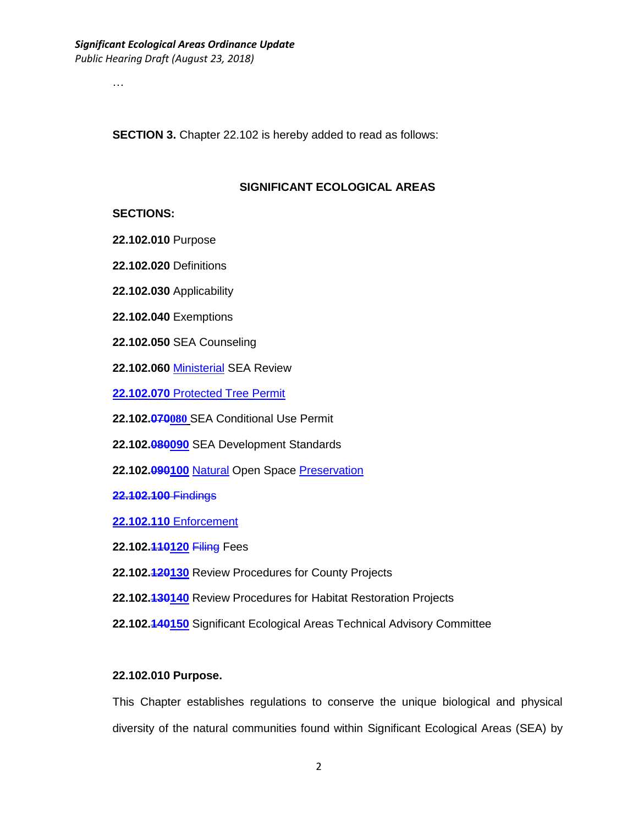…

**SECTION 3.** Chapter 22.102 is hereby added to read as follows:

### **SIGNIFICANT ECOLOGICAL AREAS**

#### **SECTIONS:**

- **22.102.010** Purpose
- **22.102.020** Definitions
- **22.102.030** Applicability
- **22.102.040** Exemptions
- **22.102.050** SEA Counseling
- **22.102.060** Ministerial SEA Review
- **22.102.070** Protected Tree Permit
- **22.102.070080** SEA Conditional Use Permit
- **22.102.080090** SEA Development Standards
- **22.102.090100** Natural Open Space Preservation
- **22.102.100** Findings

**22.102.110** Enforcement

- **22.102.110120** Filing Fees
- **22.102.120130** Review Procedures for County Projects
- **22.102.130140** Review Procedures for Habitat Restoration Projects
- **22.102.140150** Significant Ecological Areas Technical Advisory Committee

### **22.102.010 Purpose.**

This Chapter establishes regulations to conserve the unique biological and physical diversity of the natural communities found within Significant Ecological Areas (SEA) by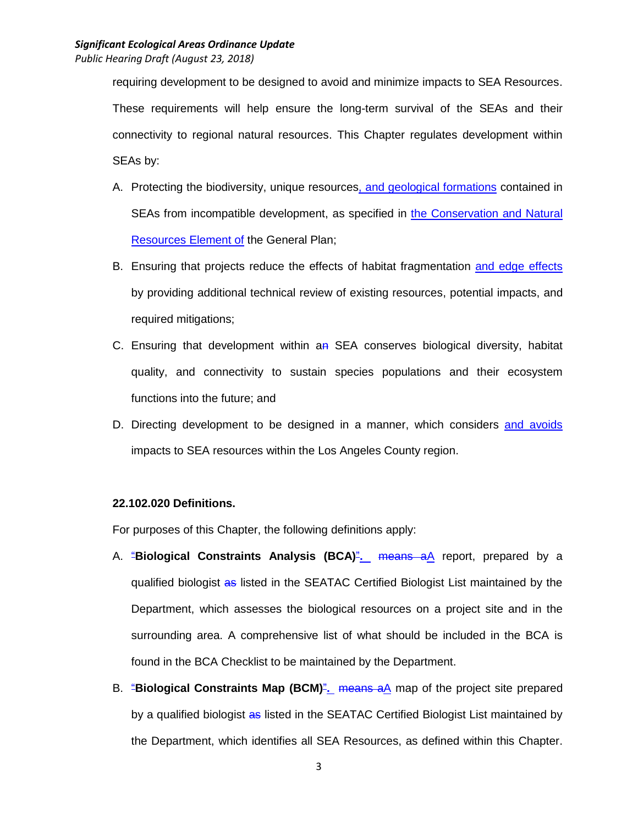requiring development to be designed to avoid and minimize impacts to SEA Resources. These requirements will help ensure the long-term survival of the SEAs and their connectivity to regional natural resources. This Chapter regulates development within SEAs by:

- A. Protecting the biodiversity, unique resources, and geological formations contained in SEAs from incompatible development, as specified in the Conservation and Natural Resources Element of the General Plan;
- B. Ensuring that projects reduce the effects of habitat fragmentation and edge effects by providing additional technical review of existing resources, potential impacts, and required mitigations;
- C. Ensuring that development within  $a_n$  SEA conserves biological diversity, habitat quality, and connectivity to sustain species populations and their ecosystem functions into the future; and
- D. Directing development to be designed in a manner, which considers and avoids impacts to SEA resources within the Los Angeles County region.

# **22.102.020 Definitions.**

For purposes of this Chapter, the following definitions apply:

- A. "**Biological Constraints Analysis (BCA)**"**.** means aA report, prepared by a qualified biologist as listed in the SEATAC Certified Biologist List maintained by the Department, which assesses the biological resources on a project site and in the surrounding area. A comprehensive list of what should be included in the BCA is found in the BCA Checklist to be maintained by the Department.
- B. "**Biological Constraints Map (BCM)**"**.** means aA map of the project site prepared by a qualified biologist as listed in the SEATAC Certified Biologist List maintained by the Department, which identifies all SEA Resources, as defined within this Chapter.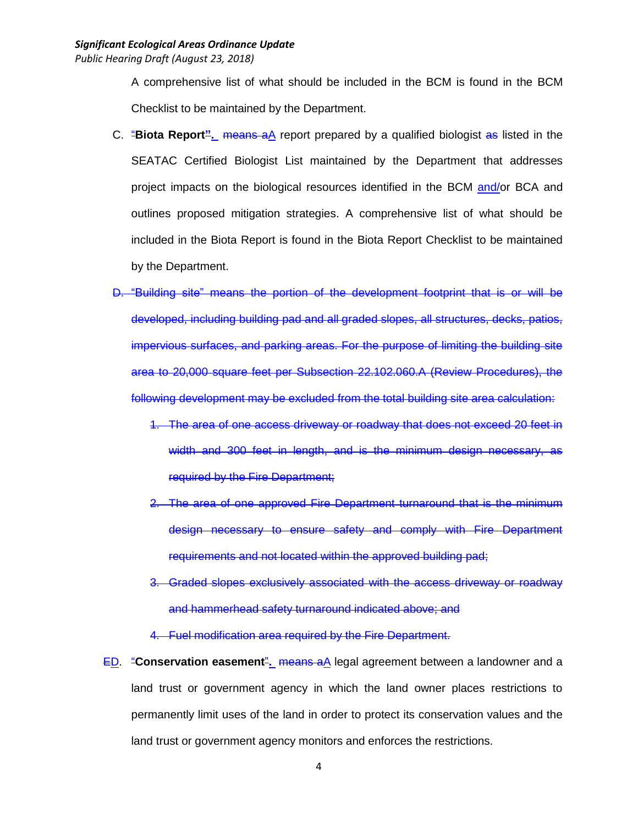A comprehensive list of what should be included in the BCM is found in the BCM Checklist to be maintained by the Department.

- C. "**Biota Report".** means aA report prepared by a qualified biologist as listed in the SEATAC Certified Biologist List maintained by the Department that addresses project impacts on the biological resources identified in the BCM and/or BCA and outlines proposed mitigation strategies. A comprehensive list of what should be included in the Biota Report is found in the Biota Report Checklist to be maintained by the Department.
- D. "Building site" means the portion of the development footprint that is or will be developed, including building pad and all graded slopes, all structures, decks, patios, impervious surfaces, and parking areas. For the purpose of limiting the building site area to 20,000 square feet per Subsection 22.102.060.A (Review Procedures), the following development may be excluded from the total building site area calculation:
	- 1. The area of one access driveway or roadway that does not exceed 20 feet in width and 300 feet in length, and is the minimum design necessary, as required by the Fire Department;
	- 2. The area of one approved Fire Department turnaround that is the minimum design necessary to ensure safety and comply with Fire Department requirements and not located within the approved building pad;
	- 3. Graded slopes exclusively associated with the access driveway or roadway and hammerhead safety turnaround indicated above; and
	- 4. Fuel modification area required by the Fire Department.
- ED. "**Conservation easement**"**.** means aA legal agreement between a landowner and a land trust or government agency in which the land owner places restrictions to permanently limit uses of the land in order to protect its conservation values and the land trust or government agency monitors and enforces the restrictions.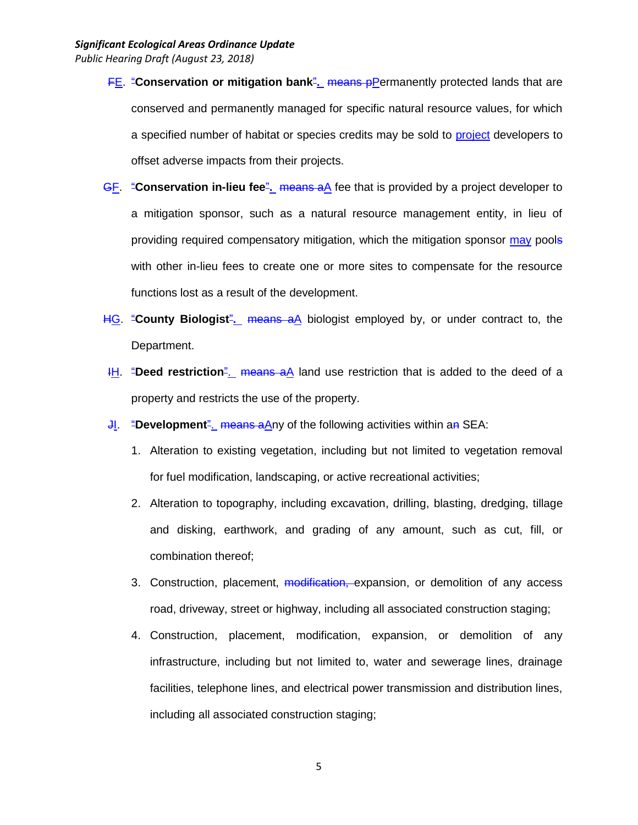- **FE.** "Conservation or mitigation bank<sup>"</sup>. means pPermanently protected lands that are conserved and permanently managed for specific natural resource values, for which a specified number of habitat or species credits may be sold to project developers to offset adverse impacts from their projects.
- GF. "**Conservation in-lieu fee**"**.** means aA fee that is provided by a project developer to a mitigation sponsor, such as a natural resource management entity, in lieu of providing required compensatory mitigation, which the mitigation sponsor may pools with other in-lieu fees to create one or more sites to compensate for the resource functions lost as a result of the development.
- HG. "**County Biologist**"**.** means aA biologist employed by, or under contract to, the Department.
- **IH.** "Deed restriction". means aA land use restriction that is added to the deed of a property and restricts the use of the property.
- **JI.** "Development". means aAny of the following activities within an SEA:
	- 1. Alteration to existing vegetation, including but not limited to vegetation removal for fuel modification, landscaping, or active recreational activities;
	- 2. Alteration to topography, including excavation, drilling, blasting, dredging, tillage and disking, earthwork, and grading of any amount, such as cut, fill, or combination thereof;
	- 3. Construction, placement, modification, expansion, or demolition of any access road, driveway, street or highway, including all associated construction staging;
	- 4. Construction, placement, modification, expansion, or demolition of any infrastructure, including but not limited to, water and sewerage lines, drainage facilities, telephone lines, and electrical power transmission and distribution lines, including all associated construction staging;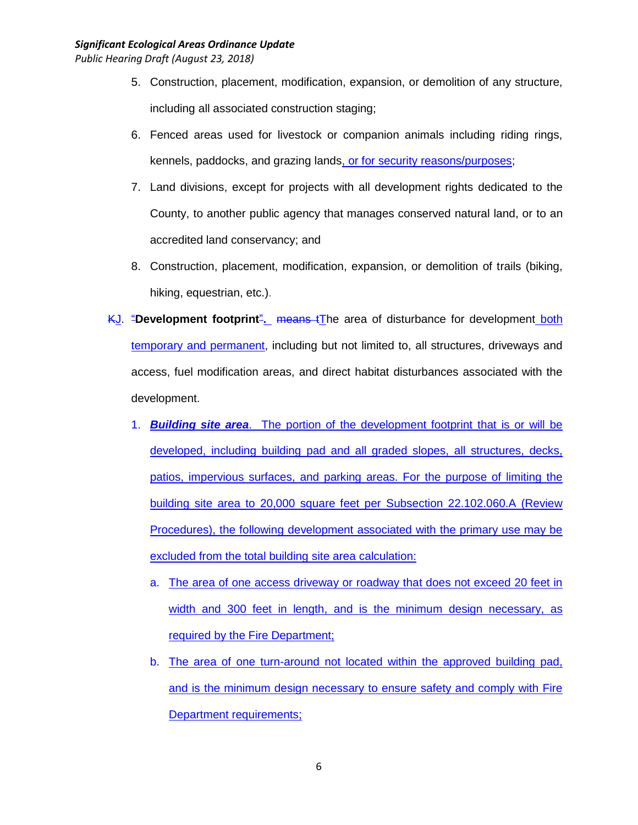- 5. Construction, placement, modification, expansion, or demolition of any structure, including all associated construction staging;
- 6. Fenced areas used for livestock or companion animals including riding rings, kennels, paddocks, and grazing lands, or for security reasons/purposes;
- 7. Land divisions, except for projects with all development rights dedicated to the County, to another public agency that manages conserved natural land, or to an accredited land conservancy; and
- 8. Construction, placement, modification, expansion, or demolition of trails (biking, hiking, equestrian, etc.).
- KJ. "**Development footprint**"**.** means tThe area of disturbance for development both temporary and permanent, including but not limited to, all structures, driveways and access, fuel modification areas, and direct habitat disturbances associated with the development.
	- 1. *Building site area*. The portion of the development footprint that is or will be developed, including building pad and all graded slopes, all structures, decks, patios, impervious surfaces, and parking areas. For the purpose of limiting the building site area to 20,000 square feet per Subsection 22.102.060.A (Review Procedures), the following development associated with the primary use may be excluded from the total building site area calculation:
		- a. The area of one access driveway or roadway that does not exceed 20 feet in width and 300 feet in length, and is the minimum design necessary, as required by the Fire Department;
		- b. The area of one turn-around not located within the approved building pad, and is the minimum design necessary to ensure safety and comply with Fire Department requirements;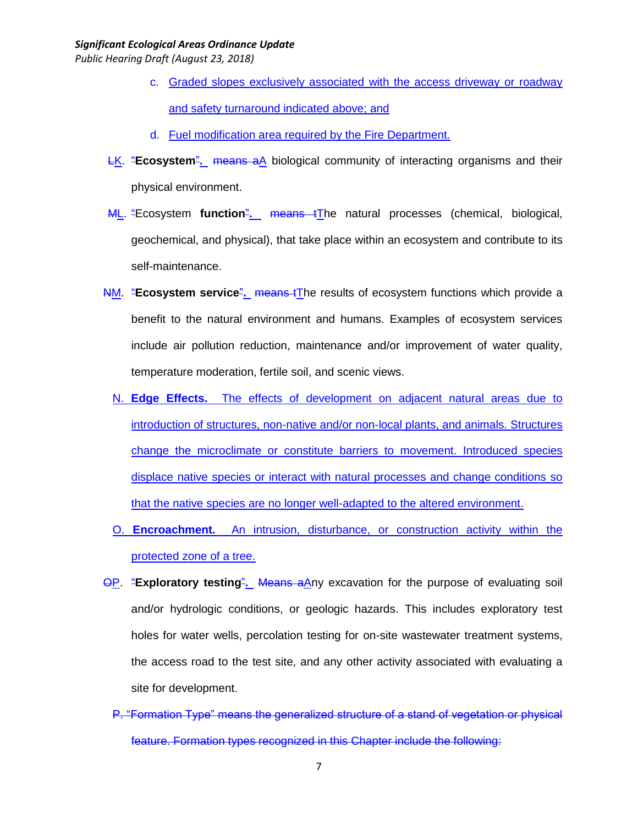- c. Graded slopes exclusively associated with the access driveway or roadway and safety turnaround indicated above; and
- d. Fuel modification area required by the Fire Department.
- LK. "**Ecosystem**"**.** means aA biological community of interacting organisms and their physical environment.
- ML. "Ecosystem **function**"**.** means tThe natural processes (chemical, biological, geochemical, and physical), that take place within an ecosystem and contribute to its self-maintenance.
- NM. "**Ecosystem service**"**.** means tThe results of ecosystem functions which provide a benefit to the natural environment and humans. Examples of ecosystem services include air pollution reduction, maintenance and/or improvement of water quality, temperature moderation, fertile soil, and scenic views.
	- N. **Edge Effects.** The effects of development on adjacent natural areas due to introduction of structures, non-native and/or non-local plants, and animals. Structures change the microclimate or constitute barriers to movement. Introduced species displace native species or interact with natural processes and change conditions so that the native species are no longer well-adapted to the altered environment.
	- O. **Encroachment.** An intrusion, disturbance, or construction activity within the protected zone of a tree.
- OP. "**Exploratory testing**"**.** Means aAny excavation for the purpose of evaluating soil and/or hydrologic conditions, or geologic hazards. This includes exploratory test holes for water wells, percolation testing for on-site wastewater treatment systems, the access road to the test site, and any other activity associated with evaluating a site for development.
	- P. "Formation Type" means the generalized structure of a stand of vegetation or physical feature. Formation types recognized in this Chapter include the following: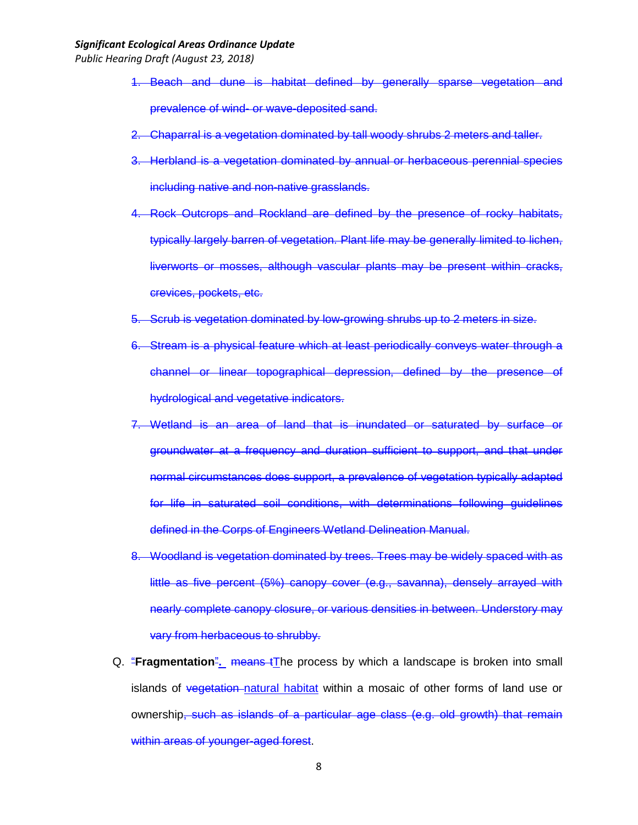- 1. Beach and dune is habitat defined by generally sparse vegetation and prevalence of wind- or wave-deposited sand.
- 2. Chaparral is a vegetation dominated by tall woody shrubs 2 meters and taller.
- 3. Herbland is a vegetation dominated by annual or herbaceous perennial species including native and non-native grasslands.
- 4. Rock Outcrops and Rockland are defined by the presence of rocky habitats, typically largely barren of vegetation. Plant life may be generally limited to lichen, liverworts or mosses, although vascular plants may be present within cracks, crevices, pockets, etc.
- 5. Scrub is vegetation dominated by low-growing shrubs up to 2 meters in size.
- 6. Stream is a physical feature which at least periodically conveys water through a channel or linear topographical depression, defined by the presence of hydrological and vegetative indicators.
- 7. Wetland is an area of land that is inundated or saturated by surface or groundwater at a frequency and duration sufficient to support, and that under normal circumstances does support, a prevalence of vegetation typically adapted for life in saturated soil conditions, with determinations following guidelines defined in the Corps of Engineers Wetland Delineation Manual.
- 8. Woodland is vegetation dominated by trees. Trees may be widely spaced with as little as five percent (5%) canopy cover (e.g., savanna), densely arrayed with nearly complete canopy closure, or various densities in between. Understory may vary from herbaceous to shrubby.
- Q. "**Fragmentation**"**.** means tThe process by which a landscape is broken into small islands of vegetation-natural habitat within a mosaic of other forms of land use or ownership, such as islands of a particular age class (e.g. old growth) that remain within areas of younger-aged forest.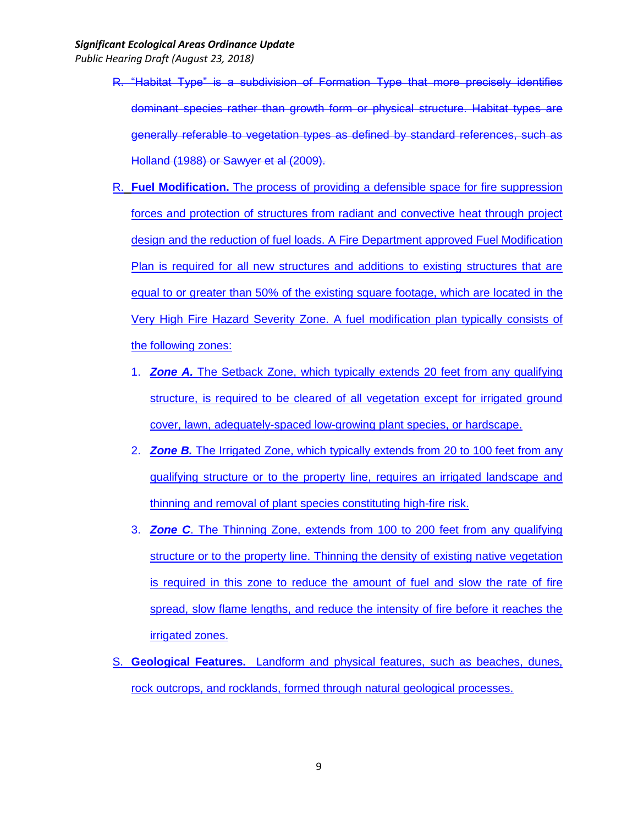- R. "Habitat Type" is a subdivision of Formation Type that more precisely identifies dominant species rather than growth form or physical structure. Habitat types are generally referable to vegetation types as defined by standard references, such as Holland (1988) or Sawyer et al (2009).
- R. **Fuel Modification.** The process of providing a defensible space for fire suppression forces and protection of structures from radiant and convective heat through project design and the reduction of fuel loads. A Fire Department approved Fuel Modification Plan is required for all new structures and additions to existing structures that are equal to or greater than 50% of the existing square footage, which are located in the Very High Fire Hazard Severity Zone. A fuel modification plan typically consists of the following zones:
	- 1. *Zone A.* The Setback Zone, which typically extends 20 feet from any qualifying structure, is required to be cleared of all vegetation except for irrigated ground cover, lawn, adequately-spaced low-growing plant species, or hardscape.
	- 2. *Zone B.* The Irrigated Zone, which typically extends from 20 to 100 feet from any qualifying structure or to the property line, requires an irrigated landscape and thinning and removal of plant species constituting high-fire risk.
	- 3. *Zone C*. The Thinning Zone, extends from 100 to 200 feet from any qualifying structure or to the property line. Thinning the density of existing native vegetation is required in this zone to reduce the amount of fuel and slow the rate of fire spread, slow flame lengths, and reduce the intensity of fire before it reaches the irrigated zones.
- S. **Geological Features.** Landform and physical features, such as beaches, dunes, rock outcrops, and rocklands, formed through natural geological processes.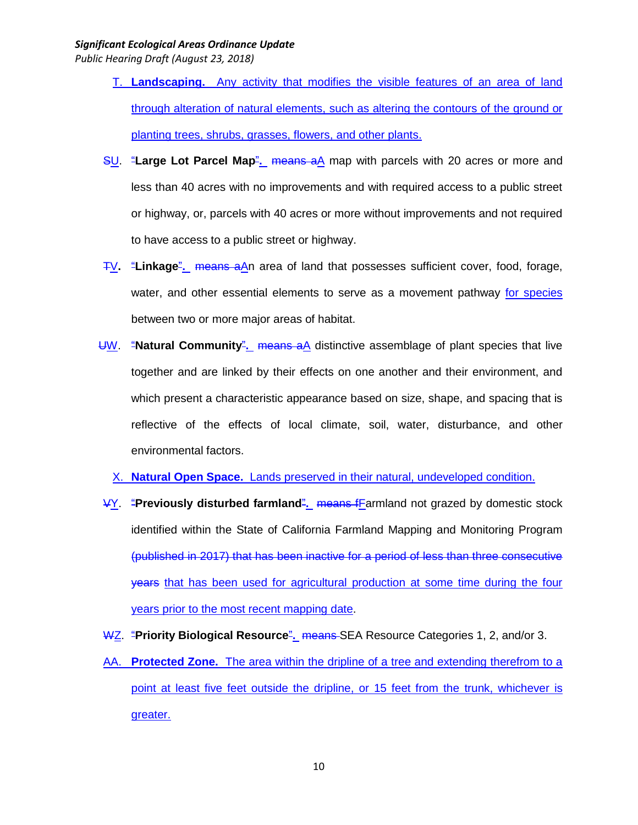- T. **Landscaping.** Any activity that modifies the visible features of an area of land through alteration of natural elements, such as altering the contours of the ground or planting trees, shrubs, grasses, flowers, and other plants.
- SU. "**Large Lot Parcel Map**"**.** means aA map with parcels with 20 acres or more and less than 40 acres with no improvements and with required access to a public street or highway, or, parcels with 40 acres or more without improvements and not required to have access to a public street or highway.
- TV**.** "**Linkage**"**.** means aAn area of land that possesses sufficient cover, food, forage, water, and other essential elements to serve as a movement pathway for species between two or more major areas of habitat.
- UW. "**Natural Community**"**.** means aA distinctive assemblage of plant species that live together and are linked by their effects on one another and their environment, and which present a characteristic appearance based on size, shape, and spacing that is reflective of the effects of local climate, soil, water, disturbance, and other environmental factors.
	- X. **Natural Open Space.** Lands preserved in their natural, undeveloped condition.
- VY. "**Previously disturbed farmland**"**.** means fFarmland not grazed by domestic stock identified within the State of California Farmland Mapping and Monitoring Program (published in 2017) that has been inactive for a period of less than three consecutive years that has been used for agricultural production at some time during the four years prior to the most recent mapping date.
- WZ. "Priority Biological Resource". means SEA Resource Categories 1, 2, and/or 3.
- AA. **Protected Zone.** The area within the dripline of a tree and extending therefrom to a point at least five feet outside the dripline, or 15 feet from the trunk, whichever is greater.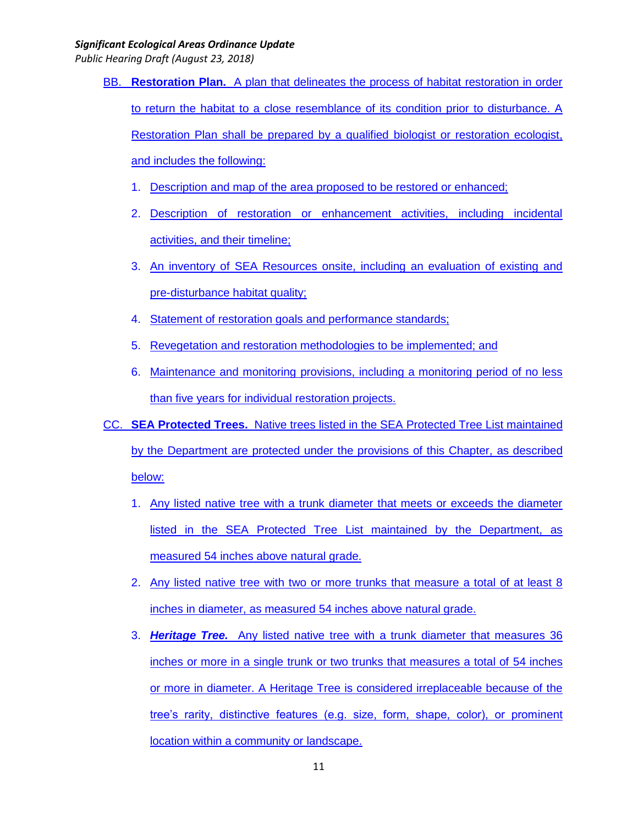- BB. **Restoration Plan.** A plan that delineates the process of habitat restoration in order to return the habitat to a close resemblance of its condition prior to disturbance. A Restoration Plan shall be prepared by a qualified biologist or restoration ecologist, and includes the following:
	- 1. Description and map of the area proposed to be restored or enhanced;
	- 2. Description of restoration or enhancement activities, including incidental activities, and their timeline;
	- 3. An inventory of SEA Resources onsite, including an evaluation of existing and pre-disturbance habitat quality;
	- 4. Statement of restoration goals and performance standards;
	- 5. Revegetation and restoration methodologies to be implemented; and
	- 6. Maintenance and monitoring provisions, including a monitoring period of no less than five years for individual restoration projects.
- CC. **SEA Protected Trees.** Native trees listed in the SEA Protected Tree List maintained by the Department are protected under the provisions of this Chapter, as described below:
	- 1. Any listed native tree with a trunk diameter that meets or exceeds the diameter listed in the SEA Protected Tree List maintained by the Department, as measured 54 inches above natural grade.
	- 2. Any listed native tree with two or more trunks that measure a total of at least 8 inches in diameter, as measured 54 inches above natural grade.
	- 3. *Heritage Tree.* Any listed native tree with a trunk diameter that measures 36 inches or more in a single trunk or two trunks that measures a total of 54 inches or more in diameter. A Heritage Tree is considered irreplaceable because of the tree's rarity, distinctive features (e.g. size, form, shape, color), or prominent location within a community or landscape.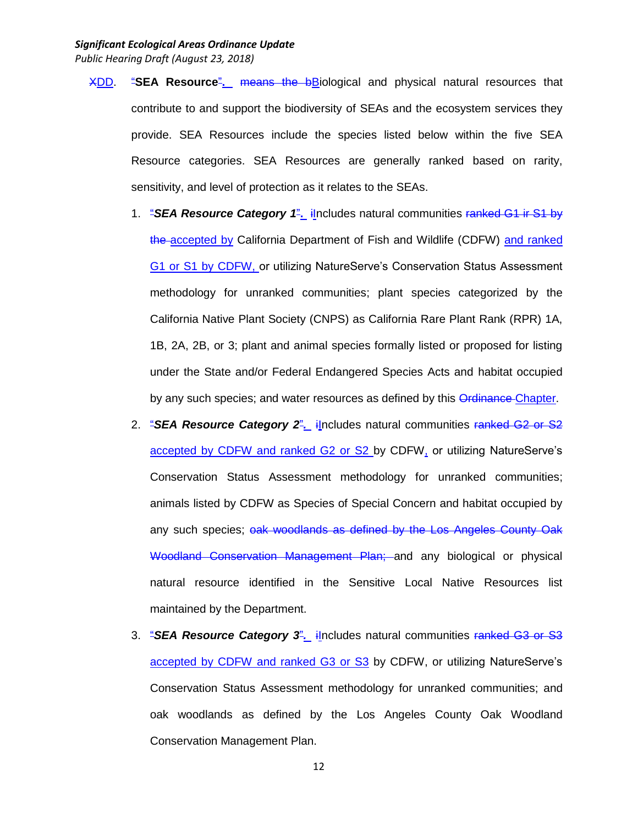- XDD. "**SEA Resource**"**.** means the bBiological and physical natural resources that contribute to and support the biodiversity of SEAs and the ecosystem services they provide. SEA Resources include the species listed below within the five SEA Resource categories. SEA Resources are generally ranked based on rarity, sensitivity, and level of protection as it relates to the SEAs.
	- 1. "**SEA Resource Category 1<sup>2</sup>. il**ncludes natural communities ranked G1 ir S1 by the accepted by California Department of Fish and Wildlife (CDFW) and ranked G1 or S1 by CDFW, or utilizing NatureServe's Conservation Status Assessment methodology for unranked communities; plant species categorized by the California Native Plant Society (CNPS) as California Rare Plant Rank (RPR) 1A, 1B, 2A, 2B, or 3; plant and animal species formally listed or proposed for listing under the State and/or Federal Endangered Species Acts and habitat occupied by any such species; and water resources as defined by this Ordinance Chapter.
	- 2. "**SEA Resource Category 2**". ilncludes natural communities ranked G2 or S2 accepted by CDFW and ranked G2 or S2 by CDFW, or utilizing NatureServe's Conservation Status Assessment methodology for unranked communities; animals listed by CDFW as Species of Special Concern and habitat occupied by any such species; oak woodlands as defined by the Los Angeles County Oak Woodland Conservation Management Plan; and any biological or physical natural resource identified in the Sensitive Local Native Resources list maintained by the Department.
	- 3. "SEA Resource Category 3<sup>"</sup>. includes natural communities ranked G3 or S3 accepted by CDFW and ranked G3 or S3 by CDFW, or utilizing NatureServe's Conservation Status Assessment methodology for unranked communities; and oak woodlands as defined by the Los Angeles County Oak Woodland Conservation Management Plan.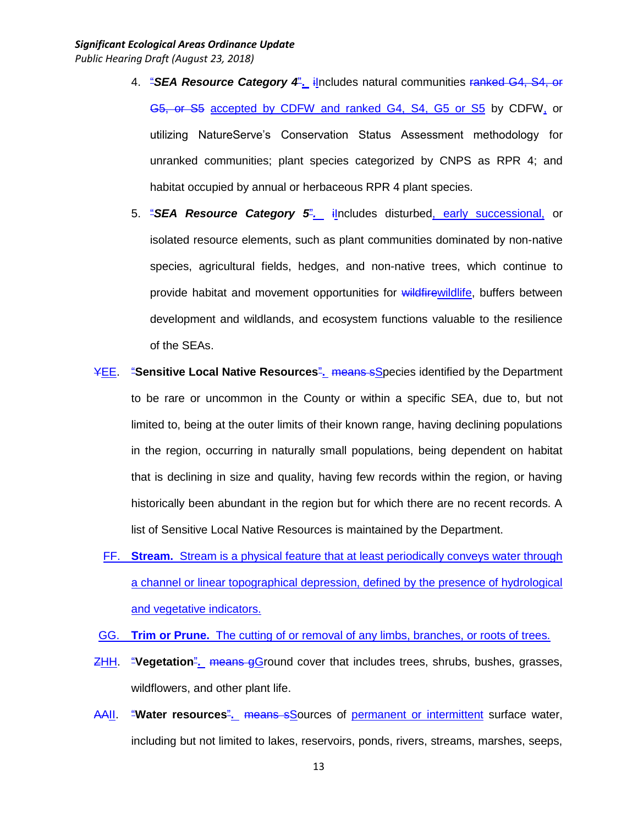- 4. "*SEA Resource Category 4*"**.** iIncludes natural communities ranked G4, S4, or G5, or S5 accepted by CDFW and ranked G4, S4, G5 or S5 by CDFW, or utilizing NatureServe's Conservation Status Assessment methodology for unranked communities; plant species categorized by CNPS as RPR 4; and habitat occupied by annual or herbaceous RPR 4 plant species.
- 5. "*SEA Resource Category 5*"*.* iIncludes disturbed, early successional, or isolated resource elements, such as plant communities dominated by non-native species, agricultural fields, hedges, and non-native trees, which continue to provide habitat and movement opportunities for wildfirewildlife, buffers between development and wildlands, and ecosystem functions valuable to the resilience of the SEAs.
- YEE. "**Sensitive Local Native Resources**"**.** means sSpecies identified by the Department to be rare or uncommon in the County or within a specific SEA, due to, but not limited to, being at the outer limits of their known range, having declining populations in the region, occurring in naturally small populations, being dependent on habitat that is declining in size and quality, having few records within the region, or having historically been abundant in the region but for which there are no recent records. A list of Sensitive Local Native Resources is maintained by the Department.
	- FF. **Stream.** Stream is a physical feature that at least periodically conveys water through a channel or linear topographical depression, defined by the presence of hydrological and vegetative indicators.
- GG. **Trim or Prune.** The cutting of or removal of any limbs, branches, or roots of trees.
- ZHH. "**Vegetation**"**.** means gGround cover that includes trees, shrubs, bushes, grasses, wildflowers, and other plant life.
- AAII. "**Water resources**"**.** means sSources of permanent or intermittent surface water, including but not limited to lakes, reservoirs, ponds, rivers, streams, marshes, seeps,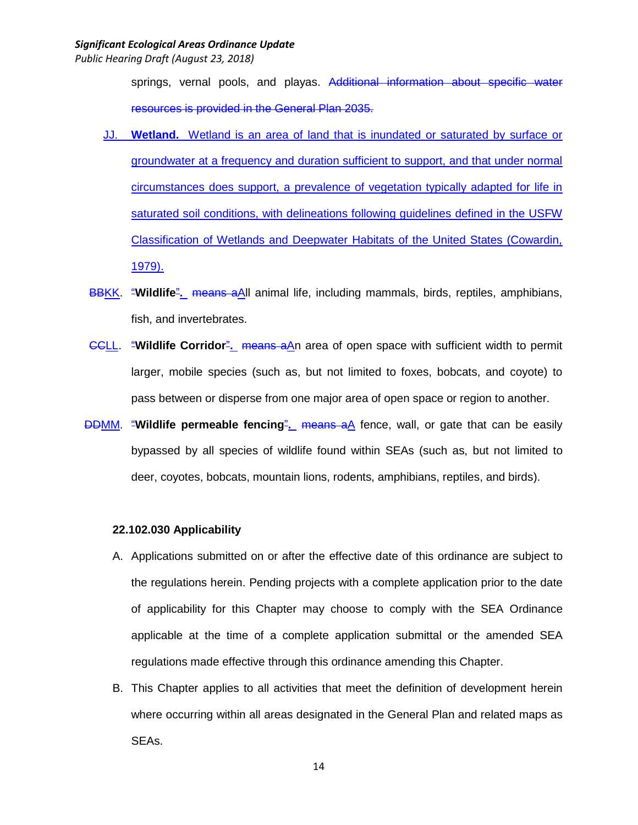*Public Hearing Draft (August 23, 2018)*

springs, vernal pools, and playas. Additional information about specific water resources is provided in the General Plan 2035.

- JJ. **Wetland.** Wetland is an area of land that is inundated or saturated by surface or groundwater at a frequency and duration sufficient to support, and that under normal circumstances does support, a prevalence of vegetation typically adapted for life in saturated soil conditions, with delineations following guidelines defined in the USFW Classification of Wetlands and Deepwater Habitats of the United States (Cowardin, 1979).
- BBKK. "**Wildlife**"**.** means aAll animal life, including mammals, birds, reptiles, amphibians, fish, and invertebrates.
- CCLL. "**Wildlife Corridor**"**.** means aAn area of open space with sufficient width to permit larger, mobile species (such as, but not limited to foxes, bobcats, and coyote) to pass between or disperse from one major area of open space or region to another.
- DDMM. "**Wildlife permeable fencing**"**.** means aA fence, wall, or gate that can be easily bypassed by all species of wildlife found within SEAs (such as, but not limited to deer, coyotes, bobcats, mountain lions, rodents, amphibians, reptiles, and birds).

### **22.102.030 Applicability**

- A. Applications submitted on or after the effective date of this ordinance are subject to the regulations herein. Pending projects with a complete application prior to the date of applicability for this Chapter may choose to comply with the SEA Ordinance applicable at the time of a complete application submittal or the amended SEA regulations made effective through this ordinance amending this Chapter.
- B. This Chapter applies to all activities that meet the definition of development herein where occurring within all areas designated in the General Plan and related maps as SEAs.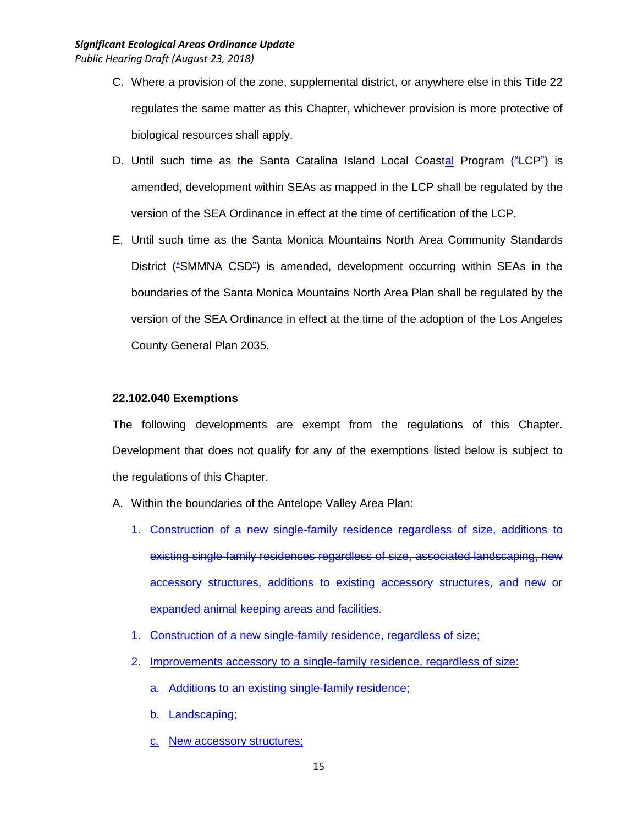- C. Where a provision of the zone, supplemental district, or anywhere else in this Title 22 regulates the same matter as this Chapter, whichever provision is more protective of biological resources shall apply.
- D. Until such time as the Santa Catalina Island Local Coastal Program ("LCP") is amended, development within SEAs as mapped in the LCP shall be regulated by the version of the SEA Ordinance in effect at the time of certification of the LCP.
- E. Until such time as the Santa Monica Mountains North Area Community Standards District ("SMMNA CSD") is amended, development occurring within SEAs in the boundaries of the Santa Monica Mountains North Area Plan shall be regulated by the version of the SEA Ordinance in effect at the time of the adoption of the Los Angeles County General Plan 2035.

### **22.102.040 Exemptions**

The following developments are exempt from the regulations of this Chapter. Development that does not qualify for any of the exemptions listed below is subject to the regulations of this Chapter.

- A. Within the boundaries of the Antelope Valley Area Plan:
	- 1. Construction of a new single-family residence regardless of size, additions to existing single-family residences regardless of size, associated landscaping, new accessory structures, additions to existing accessory structures, and new or expanded animal keeping areas and facilities.
	- 1. Construction of a new single-family residence, regardless of size;
	- 2. Improvements accessory to a single-family residence, regardless of size:
		- a. Additions to an existing single-family residence;
		- b. Landscaping;
		- c. New accessory structures;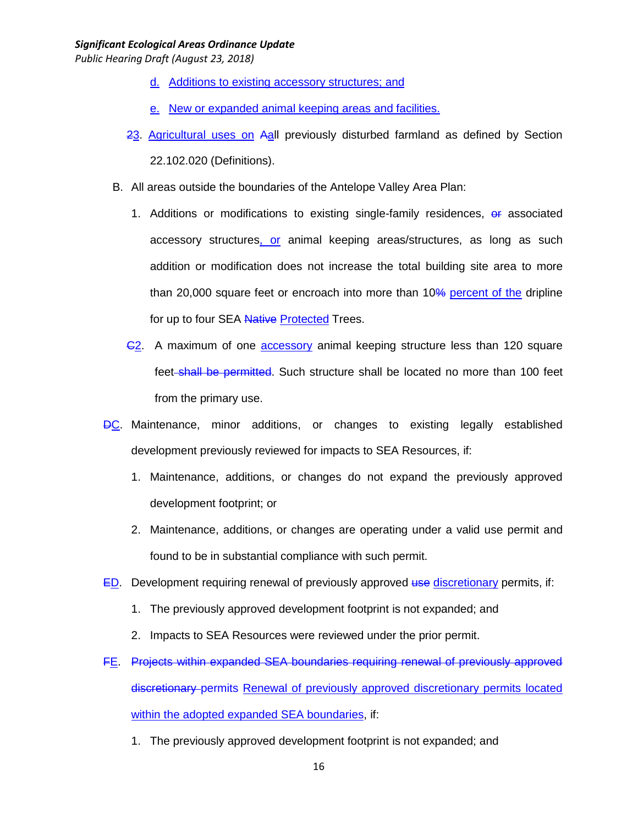- d. Additions to existing accessory structures; and
- e. New or expanded animal keeping areas and facilities.
- 23. Agricultural uses on Aall previously disturbed farmland as defined by Section 22.102.020 (Definitions).
- B. All areas outside the boundaries of the Antelope Valley Area Plan:
	- 1. Additions or modifications to existing single-family residences, or associated accessory structures, or animal keeping areas/structures, as long as such addition or modification does not increase the total building site area to more than 20,000 square feet or encroach into more than 10% percent of the dripline for up to four SEA Native Protected Trees.
	- C2. A maximum of one accessory animal keeping structure less than 120 square feet-shall be permitted. Such structure shall be located no more than 100 feet from the primary use.
- DC. Maintenance, minor additions, or changes to existing legally established development previously reviewed for impacts to SEA Resources, if:
	- 1. Maintenance, additions, or changes do not expand the previously approved development footprint; or
	- 2. Maintenance, additions, or changes are operating under a valid use permit and found to be in substantial compliance with such permit.
- $ED.$  Development requiring renewal of previously approved use discretionary permits, if:
	- 1. The previously approved development footprint is not expanded; and
	- 2. Impacts to SEA Resources were reviewed under the prior permit.
- FE. Projects within expanded SEA boundaries requiring renewal of previously approved discretionary permits Renewal of previously approved discretionary permits located within the adopted expanded SEA boundaries, if:
	- 1. The previously approved development footprint is not expanded; and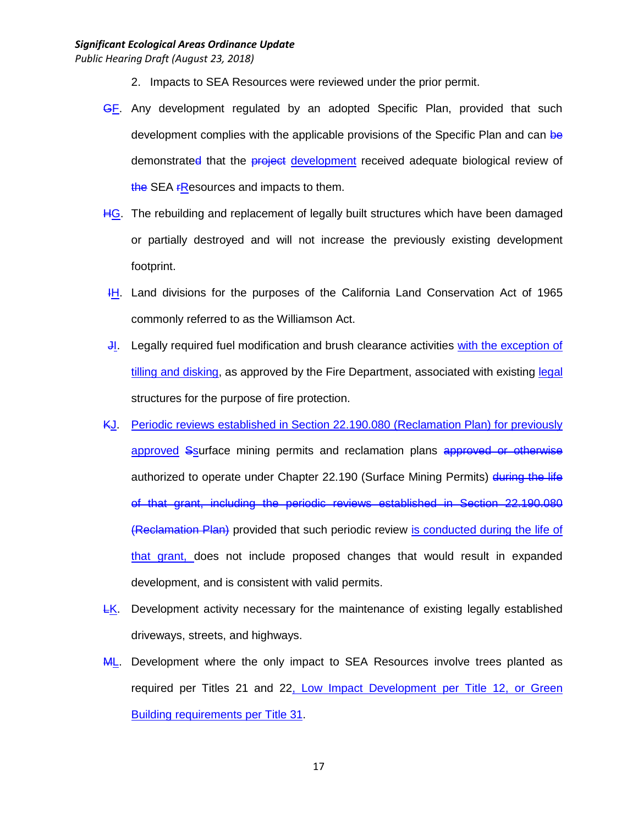- 2. Impacts to SEA Resources were reviewed under the prior permit.
- GF. Any development regulated by an adopted Specific Plan, provided that such development complies with the applicable provisions of the Specific Plan and can be demonstrated that the **project** development received adequate biological review of the SEA FResources and impacts to them.
- HG. The rebuilding and replacement of legally built structures which have been damaged or partially destroyed and will not increase the previously existing development footprint.
- IH. Land divisions for the purposes of the California Land Conservation Act of 1965 commonly referred to as the Williamson Act.
- JI. Legally required fuel modification and brush clearance activities with the exception of tilling and disking, as approved by the Fire Department, associated with existing legal structures for the purpose of fire protection.
- KJ. Periodic reviews established in Section 22.190.080 (Reclamation Plan) for previously approved Ssurface mining permits and reclamation plans approved or otherwise authorized to operate under Chapter 22.190 (Surface Mining Permits) during the life of that grant, including the periodic reviews established in Section 22.190.080 (Reclamation Plan) provided that such periodic review is conducted during the life of that grant, does not include proposed changes that would result in expanded development, and is consistent with valid permits.
- LK. Development activity necessary for the maintenance of existing legally established driveways, streets, and highways.
- **ML.** Development where the only impact to SEA Resources involve trees planted as required per Titles 21 and 22, Low Impact Development per Title 12, or Green Building requirements per Title 31.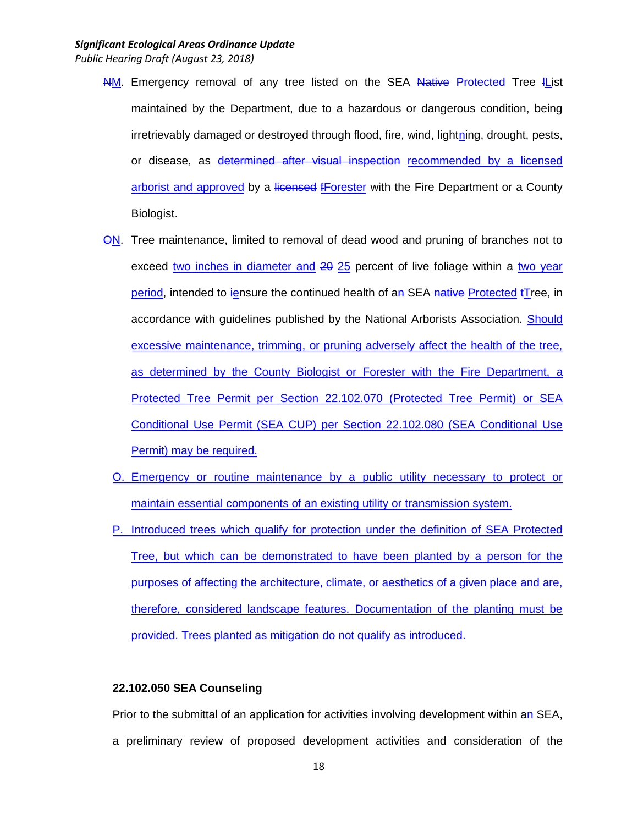- NM. Emergency removal of any tree listed on the SEA Native Protected Tree IList maintained by the Department, due to a hazardous or dangerous condition, being irretrievably damaged or destroyed through flood, fire, wind, lightning, drought, pests, or disease, as determined after visual inspection recommended by a licensed arborist and approved by a licensed fForester with the Fire Department or a County Biologist.
- **ON.** Tree maintenance, limited to removal of dead wood and pruning of branches not to exceed two inches in diameter and 20 25 percent of live foliage within a two year period, intended to iensure the continued health of an SEA native Protected tTree, in accordance with guidelines published by the National Arborists Association. Should excessive maintenance, trimming, or pruning adversely affect the health of the tree, as determined by the County Biologist or Forester with the Fire Department, a Protected Tree Permit per Section 22.102.070 (Protected Tree Permit) or SEA Conditional Use Permit (SEA CUP) per Section 22.102.080 (SEA Conditional Use Permit) may be required.
	- O. Emergency or routine maintenance by a public utility necessary to protect or maintain essential components of an existing utility or transmission system.
	- P. Introduced trees which qualify for protection under the definition of SEA Protected Tree, but which can be demonstrated to have been planted by a person for the purposes of affecting the architecture, climate, or aesthetics of a given place and are, therefore, considered landscape features. Documentation of the planting must be provided. Trees planted as mitigation do not qualify as introduced.

### **22.102.050 SEA Counseling**

Prior to the submittal of an application for activities involving development within an SEA, a preliminary review of proposed development activities and consideration of the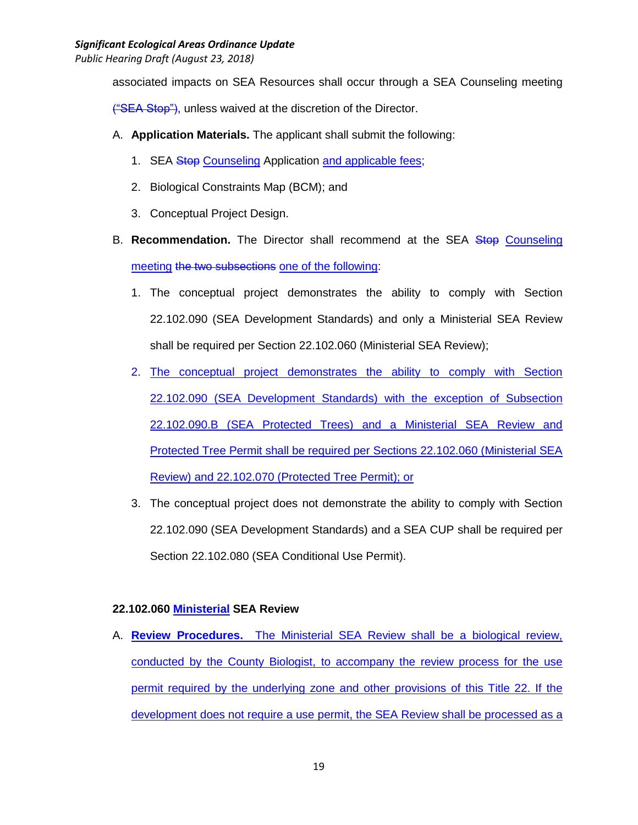associated impacts on SEA Resources shall occur through a SEA Counseling meeting

("SEA Stop"), unless waived at the discretion of the Director.

- A. **Application Materials.** The applicant shall submit the following:
	- 1. SEA Stop Counseling Application and applicable fees;
	- 2. Biological Constraints Map (BCM); and
	- 3. Conceptual Project Design.
- B. **Recommendation.** The Director shall recommend at the SEA Stop Counseling meeting the two subsections one of the following:
	- 1. The conceptual project demonstrates the ability to comply with Section 22.102.090 (SEA Development Standards) and only a Ministerial SEA Review shall be required per Section 22.102.060 (Ministerial SEA Review);
	- 2. The conceptual project demonstrates the ability to comply with Section 22.102.090 (SEA Development Standards) with the exception of Subsection 22.102.090.B (SEA Protected Trees) and a Ministerial SEA Review and Protected Tree Permit shall be required per Sections 22.102.060 (Ministerial SEA Review) and 22.102.070 (Protected Tree Permit); or
	- 3. The conceptual project does not demonstrate the ability to comply with Section 22.102.090 (SEA Development Standards) and a SEA CUP shall be required per Section 22.102.080 (SEA Conditional Use Permit).

# **22.102.060 Ministerial SEA Review**

A. **Review Procedures.** The Ministerial SEA Review shall be a biological review, conducted by the County Biologist, to accompany the review process for the use permit required by the underlying zone and other provisions of this Title 22. If the development does not require a use permit, the SEA Review shall be processed as a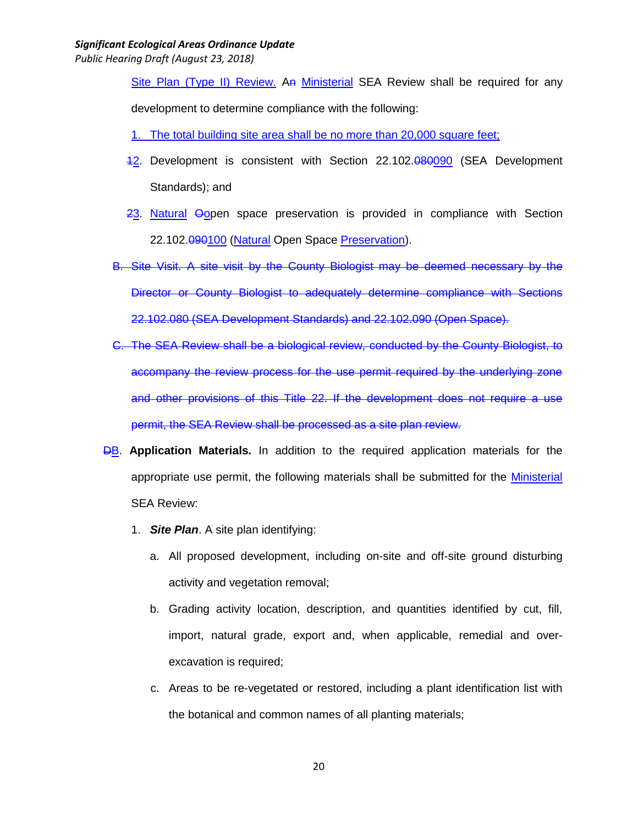*Public Hearing Draft (August 23, 2018)*

Site Plan (Type II) Review. An Ministerial SEA Review shall be required for any development to determine compliance with the following:

- 1. The total building site area shall be no more than 20,000 square feet;
- 42. Development is consistent with Section 22.102.080090 (SEA Development Standards); and
- 23. Natural Oopen space preservation is provided in compliance with Section 22.102.090100 (Natural Open Space Preservation).
- B. Site Visit. A site visit by the County Biologist may be deemed necessary by the Director or County Biologist to adequately determine compliance with Sections 22.102.080 (SEA Development Standards) and 22.102.090 (Open Space).
- C. The SEA Review shall be a biological review, conducted by the County Biologist, to accompany the review process for the use permit required by the underlying zone and other provisions of this Title 22. If the development does not require a use permit, the SEA Review shall be processed as a site plan review.
- **DB.** Application Materials. In addition to the required application materials for the appropriate use permit, the following materials shall be submitted for the Ministerial SEA Review:
	- 1. *Site Plan*. A site plan identifying:
		- a. All proposed development, including on-site and off-site ground disturbing activity and vegetation removal;
		- b. Grading activity location, description, and quantities identified by cut, fill, import, natural grade, export and, when applicable, remedial and overexcavation is required;
		- c. Areas to be re-vegetated or restored, including a plant identification list with the botanical and common names of all planting materials;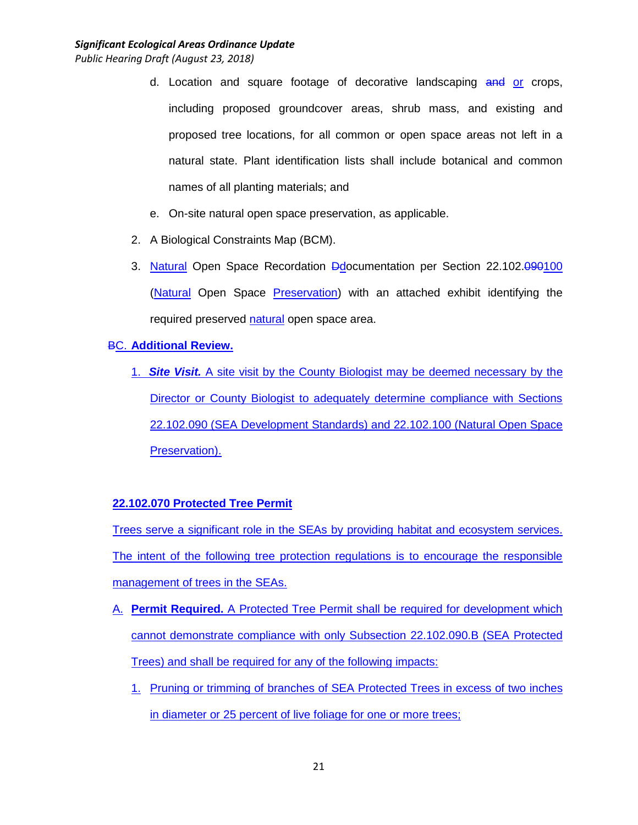- d. Location and square footage of decorative landscaping and or crops, including proposed groundcover areas, shrub mass, and existing and proposed tree locations, for all common or open space areas not left in a natural state. Plant identification lists shall include botanical and common names of all planting materials; and
- e. On-site natural open space preservation, as applicable.
- 2. A Biological Constraints Map (BCM).
- 3. Natural Open Space Recordation Ddocumentation per Section 22.102.090100 (Natural Open Space Preservation) with an attached exhibit identifying the required preserved natural open space area.

BC. **Additional Review.**

1. *Site Visit.* A site visit by the County Biologist may be deemed necessary by the Director or County Biologist to adequately determine compliance with Sections 22.102.090 (SEA Development Standards) and 22.102.100 (Natural Open Space Preservation).

# **22.102.070 Protected Tree Permit**

Trees serve a significant role in the SEAs by providing habitat and ecosystem services. The intent of the following tree protection regulations is to encourage the responsible management of trees in the SEAs.

- A. **Permit Required.** A Protected Tree Permit shall be required for development which cannot demonstrate compliance with only Subsection 22.102.090.B (SEA Protected Trees) and shall be required for any of the following impacts:
	- 1. Pruning or trimming of branches of SEA Protected Trees in excess of two inches in diameter or 25 percent of live foliage for one or more trees;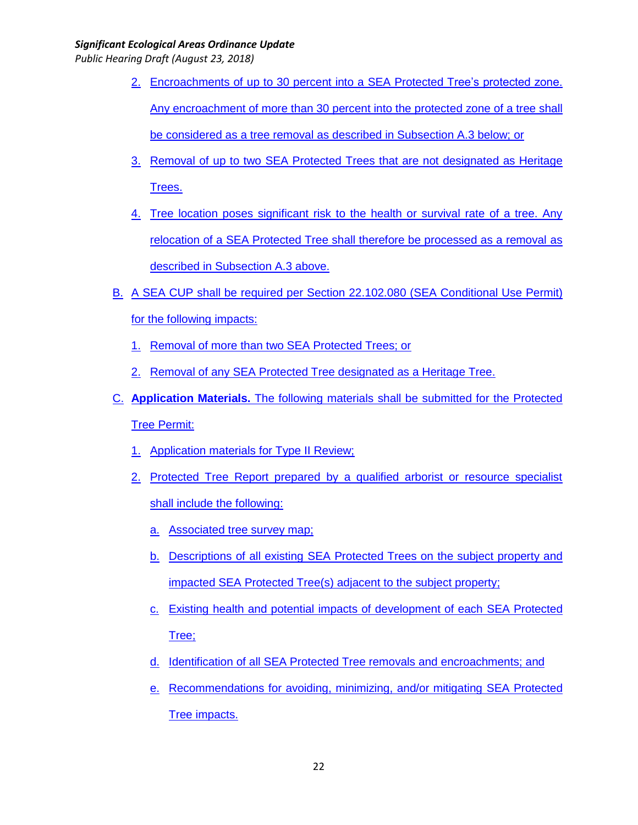- 2. Encroachments of up to 30 percent into a SEA Protected Tree's protected zone. Any encroachment of more than 30 percent into the protected zone of a tree shall be considered as a tree removal as described in Subsection A.3 below; or
- 3. Removal of up to two SEA Protected Trees that are not designated as Heritage Trees.
- 4. Tree location poses significant risk to the health or survival rate of a tree. Any relocation of a SEA Protected Tree shall therefore be processed as a removal as described in Subsection A.3 above.
- B. A SEA CUP shall be required per Section 22.102.080 (SEA Conditional Use Permit) for the following impacts:
	- 1. Removal of more than two SEA Protected Trees; or
	- 2. Removal of any SEA Protected Tree designated as a Heritage Tree.
- C. **Application Materials.** The following materials shall be submitted for the Protected Tree Permit:
	- 1. Application materials for Type II Review;
	- 2. Protected Tree Report prepared by a qualified arborist or resource specialist shall include the following:
		- a. Associated tree survey map;
		- b. Descriptions of all existing SEA Protected Trees on the subject property and impacted SEA Protected Tree(s) adjacent to the subject property;
		- c. Existing health and potential impacts of development of each SEA Protected Tree;
		- d. Identification of all SEA Protected Tree removals and encroachments; and
		- e. Recommendations for avoiding, minimizing, and/or mitigating SEA Protected Tree impacts.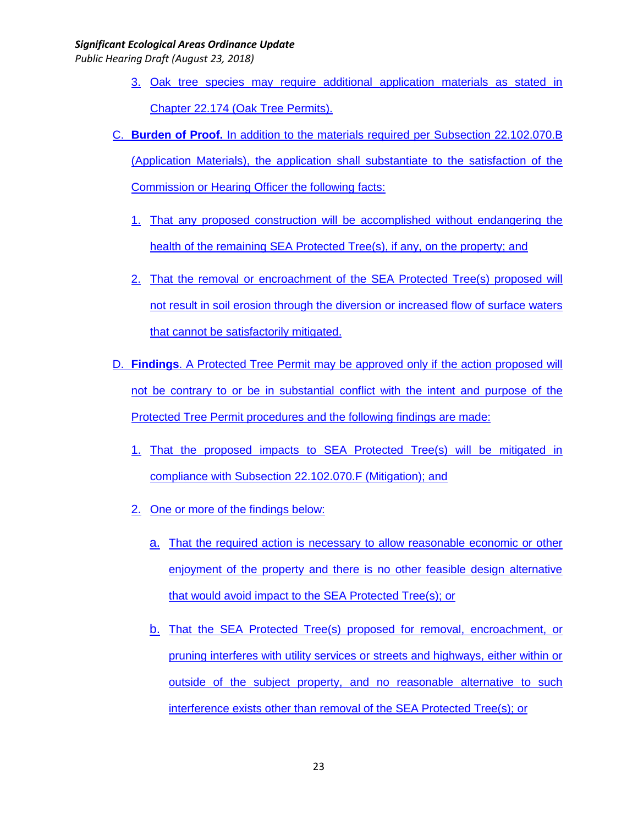- 3. Oak tree species may require additional application materials as stated in Chapter 22.174 (Oak Tree Permits).
- C. **Burden of Proof.** In addition to the materials required per Subsection 22.102.070.B (Application Materials), the application shall substantiate to the satisfaction of the Commission or Hearing Officer the following facts:
	- 1. That any proposed construction will be accomplished without endangering the health of the remaining SEA Protected Tree(s), if any, on the property; and
	- 2. That the removal or encroachment of the SEA Protected Tree(s) proposed will not result in soil erosion through the diversion or increased flow of surface waters that cannot be satisfactorily mitigated.
- D. **Findings**. A Protected Tree Permit may be approved only if the action proposed will not be contrary to or be in substantial conflict with the intent and purpose of the Protected Tree Permit procedures and the following findings are made:
	- 1. That the proposed impacts to SEA Protected Tree(s) will be mitigated in compliance with Subsection 22.102.070.F (Mitigation); and
	- 2. One or more of the findings below:
		- a. That the required action is necessary to allow reasonable economic or other enjoyment of the property and there is no other feasible design alternative that would avoid impact to the SEA Protected Tree(s); or
		- b. That the SEA Protected Tree(s) proposed for removal, encroachment, or pruning interferes with utility services or streets and highways, either within or outside of the subject property, and no reasonable alternative to such interference exists other than removal of the SEA Protected Tree(s); or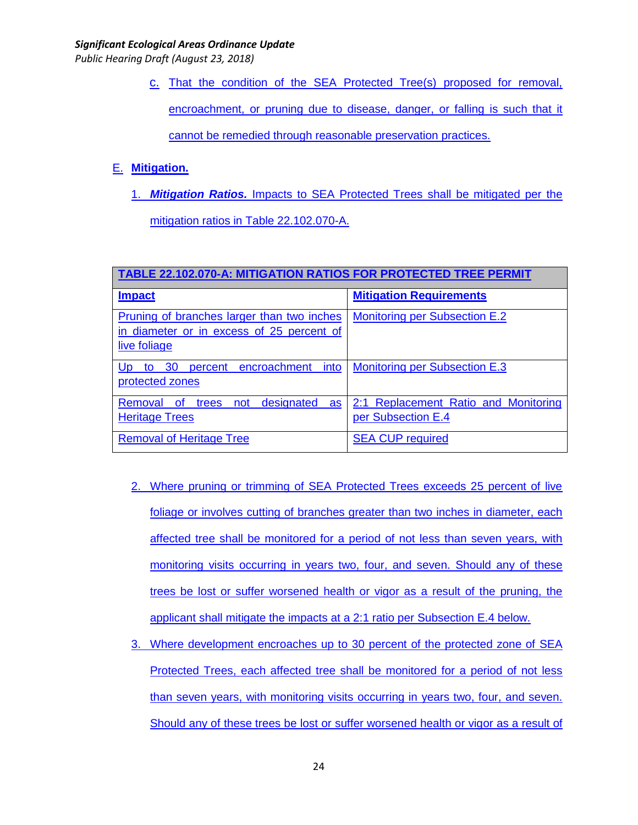*Public Hearing Draft (August 23, 2018)*

c. That the condition of the SEA Protected Tree(s) proposed for removal,

encroachment, or pruning due to disease, danger, or falling is such that it

cannot be remedied through reasonable preservation practices.

# E. **Mitigation.**

1. *Mitigation Ratios.* Impacts to SEA Protected Trees shall be mitigated per the mitigation ratios in Table 22.102.070-A.

**TABLE 22.102.070-A: MITIGATION RATIOS FOR PROTECTED TREE PERMIT Impact Mitigation Requirements** Pruning of branches larger than two inches in diameter or in excess of 25 percent of live foliage Monitoring per Subsection E.2 Up to 30 percent encroachment into protected zones Monitoring per Subsection E.3 Removal of trees not designated as Heritage Trees 2:1 Replacement Ratio and Monitoring per Subsection E.4 Removal of Heritage Tree SEA CUP required

- 2. Where pruning or trimming of SEA Protected Trees exceeds 25 percent of live foliage or involves cutting of branches greater than two inches in diameter, each affected tree shall be monitored for a period of not less than seven years, with monitoring visits occurring in years two, four, and seven. Should any of these trees be lost or suffer worsened health or vigor as a result of the pruning, the applicant shall mitigate the impacts at a 2:1 ratio per Subsection E.4 below.
- 3. Where development encroaches up to 30 percent of the protected zone of SEA Protected Trees, each affected tree shall be monitored for a period of not less than seven years, with monitoring visits occurring in years two, four, and seven. Should any of these trees be lost or suffer worsened health or vigor as a result of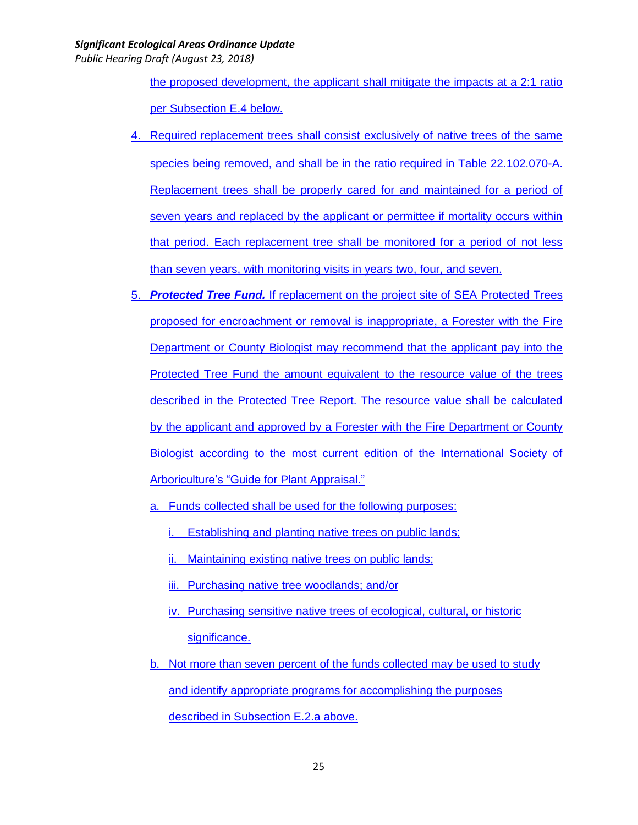*Public Hearing Draft (August 23, 2018)*

the proposed development, the applicant shall mitigate the impacts at a 2:1 ratio per Subsection E.4 below.

- 4. Required replacement trees shall consist exclusively of native trees of the same species being removed, and shall be in the ratio required in Table 22.102.070-A. Replacement trees shall be properly cared for and maintained for a period of seven years and replaced by the applicant or permittee if mortality occurs within that period. Each replacement tree shall be monitored for a period of not less than seven years, with monitoring visits in years two, four, and seven.
- 5. *Protected Tree Fund.* If replacement on the project site of SEA Protected Trees proposed for encroachment or removal is inappropriate, a Forester with the Fire Department or County Biologist may recommend that the applicant pay into the Protected Tree Fund the amount equivalent to the resource value of the trees described in the Protected Tree Report. The resource value shall be calculated by the applicant and approved by a Forester with the Fire Department or County Biologist according to the most current edition of the International Society of Arboriculture's "Guide for Plant Appraisal."
	- a. Funds collected shall be used for the following purposes:
		- i. Establishing and planting native trees on public lands;
		- ii. Maintaining existing native trees on public lands;
		- iii. Purchasing native tree woodlands; and/or
		- iv. Purchasing sensitive native trees of ecological, cultural, or historic significance.
	- b. Not more than seven percent of the funds collected may be used to study and identify appropriate programs for accomplishing the purposes described in Subsection E.2.a above.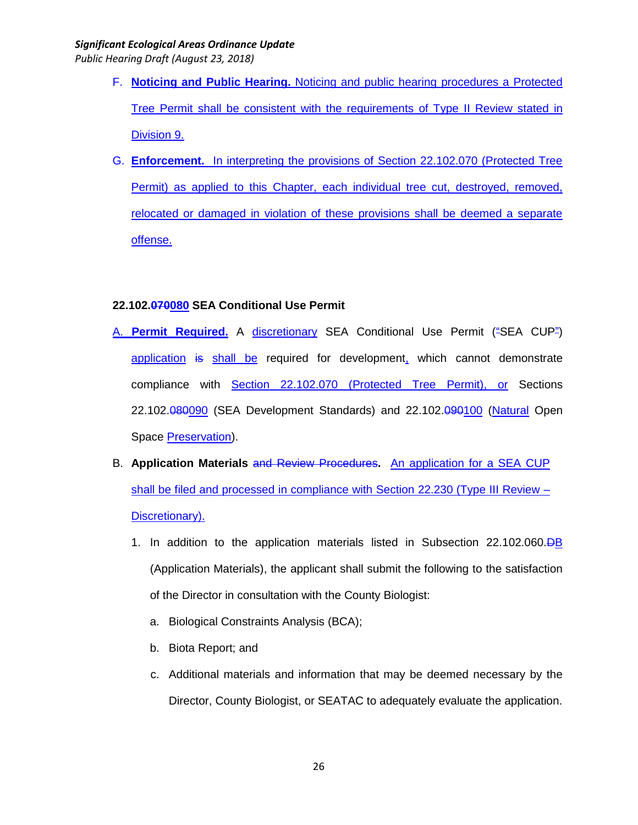*Public Hearing Draft (August 23, 2018)*

- F. **Noticing and Public Hearing.** Noticing and public hearing procedures a Protected Tree Permit shall be consistent with the requirements of Type II Review stated in Division 9.
- G. **Enforcement.** In interpreting the provisions of Section 22.102.070 (Protected Tree Permit) as applied to this Chapter, each individual tree cut, destroyed, removed, relocated or damaged in violation of these provisions shall be deemed a separate offense.

# **22.102.070080 SEA Conditional Use Permit**

- A. **Permit Required.** A discretionary SEA Conditional Use Permit ("SEA CUP") application is shall be required for development, which cannot demonstrate compliance with Section 22.102.070 (Protected Tree Permit), or Sections 22.102.080090 (SEA Development Standards) and 22.102.090100 (Natural Open Space Preservation).
- B. **Application Materials** and Review Procedures**.** An application for a SEA CUP shall be filed and processed in compliance with Section 22.230 (Type III Review – Discretionary).
	- 1. In addition to the application materials listed in Subsection 22.102.060.DB (Application Materials), the applicant shall submit the following to the satisfaction of the Director in consultation with the County Biologist:
		- a. Biological Constraints Analysis (BCA);
		- b. Biota Report; and
		- c. Additional materials and information that may be deemed necessary by the Director, County Biologist, or SEATAC to adequately evaluate the application.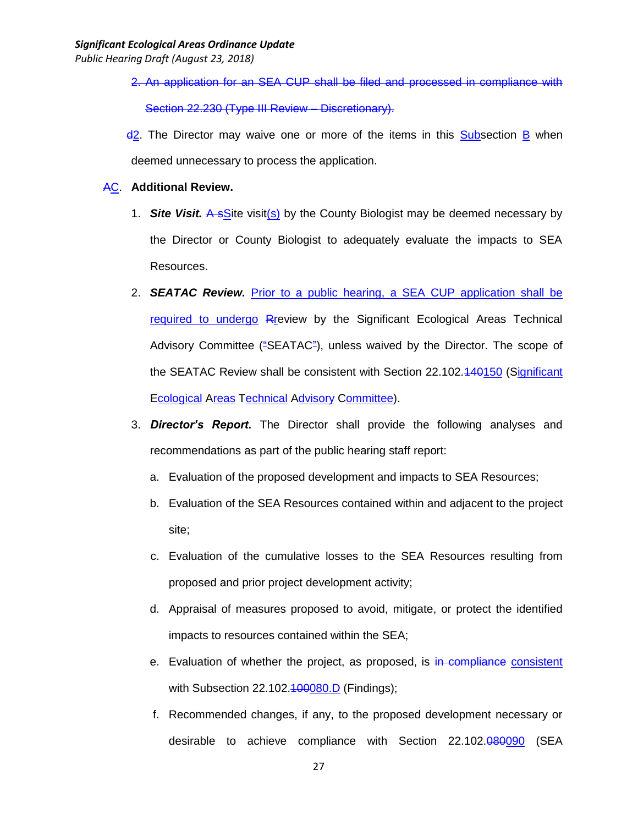- 2. An application for an SEA CUP shall be filed and processed in compliance with Section 22.230 (Type III Review – Discretionary).
- $d^2$ . The Director may waive one or more of the items in this Subsection B when deemed unnecessary to process the application.
- AC. **Additional Review.**
	- 1. *Site Visit.* A sSite visit(s) by the County Biologist may be deemed necessary by the Director or County Biologist to adequately evaluate the impacts to SEA Resources.
	- 2. *SEATAC Review.* Prior to a public hearing, a SEA CUP application shall be required to undergo Rreview by the Significant Ecological Areas Technical Advisory Committee ("SEATAC"), unless waived by the Director. The scope of the SEATAC Review shall be consistent with Section 22.102.440150 (Significant Ecological Areas Technical Advisory Committee).
	- 3. *Director's Report.* The Director shall provide the following analyses and recommendations as part of the public hearing staff report:
		- a. Evaluation of the proposed development and impacts to SEA Resources;
		- b. Evaluation of the SEA Resources contained within and adjacent to the project site;
		- c. Evaluation of the cumulative losses to the SEA Resources resulting from proposed and prior project development activity;
		- d. Appraisal of measures proposed to avoid, mitigate, or protect the identified impacts to resources contained within the SEA;
		- e. Evaluation of whether the project, as proposed, is in compliance consistent with Subsection  $22.102.\overline{400080}$ .  $D$  (Findings);
		- f. Recommended changes, if any, to the proposed development necessary or desirable to achieve compliance with Section 22.102.080090 (SEA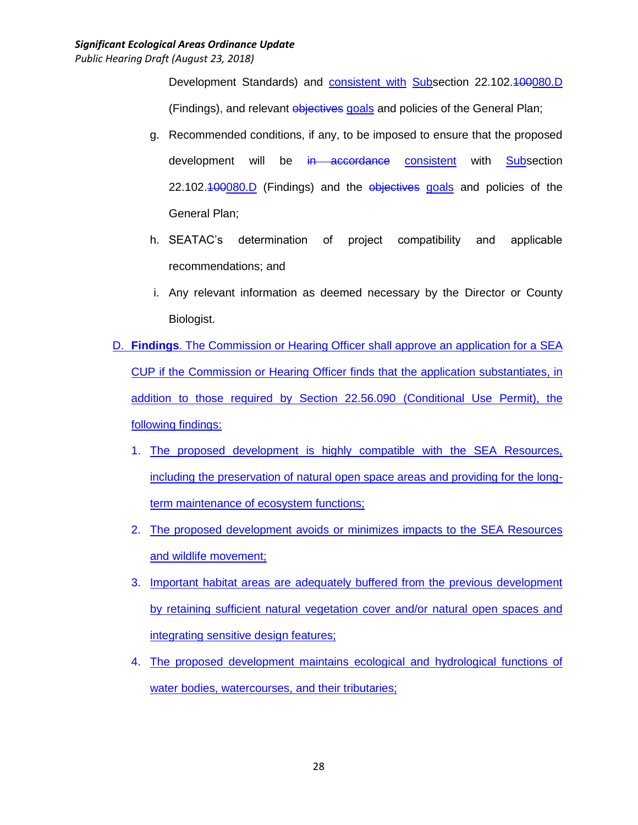Development Standards) and consistent with Subsection 22.102.400080.D (Findings), and relevant objectives goals and policies of the General Plan;

- g. Recommended conditions, if any, to be imposed to ensure that the proposed development will be in accordance consistent with Subsection 22.102.400080.D (Findings) and the objectives goals and policies of the General Plan;
- h. SEATAC's determination of project compatibility and applicable recommendations; and
- i. Any relevant information as deemed necessary by the Director or County Biologist.
- D. **Findings**. The Commission or Hearing Officer shall approve an application for a SEA CUP if the Commission or Hearing Officer finds that the application substantiates, in addition to those required by Section 22.56.090 (Conditional Use Permit), the following findings:
	- 1. The proposed development is highly compatible with the SEA Resources, including the preservation of natural open space areas and providing for the longterm maintenance of ecosystem functions;
	- 2. The proposed development avoids or minimizes impacts to the SEA Resources and wildlife movement;
	- 3. Important habitat areas are adequately buffered from the previous development by retaining sufficient natural vegetation cover and/or natural open spaces and integrating sensitive design features;
	- 4. The proposed development maintains ecological and hydrological functions of water bodies, watercourses, and their tributaries;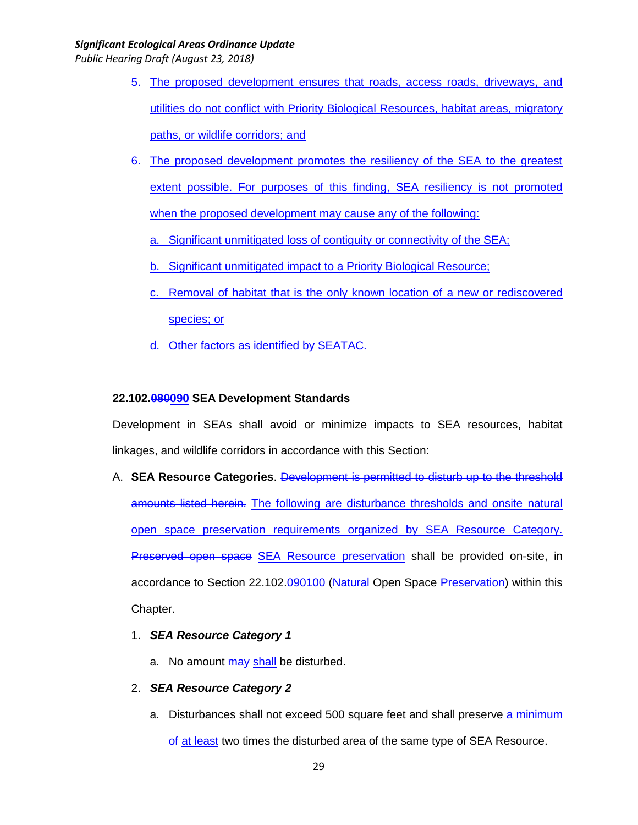*Public Hearing Draft (August 23, 2018)*

- 5. The proposed development ensures that roads, access roads, driveways, and utilities do not conflict with Priority Biological Resources, habitat areas, migratory paths, or wildlife corridors; and
- 6. The proposed development promotes the resiliency of the SEA to the greatest extent possible. For purposes of this finding, SEA resiliency is not promoted when the proposed development may cause any of the following:
	- a. Significant unmitigated loss of contiguity or connectivity of the SEA;
	- b. Significant unmitigated impact to a Priority Biological Resource;
	- c. Removal of habitat that is the only known location of a new or rediscovered species; or
	- d. Other factors as identified by SEATAC.

# **22.102.080090 SEA Development Standards**

Development in SEAs shall avoid or minimize impacts to SEA resources, habitat linkages, and wildlife corridors in accordance with this Section:

- A. **SEA Resource Categories**. Development is permitted to disturb up to the threshold amounts listed herein. The following are disturbance thresholds and onsite natural open space preservation requirements organized by SEA Resource Category. **Preserved open space SEA Resource preservation shall be provided on-site, in** accordance to Section 22.102.090100 (Natural Open Space Preservation) within this Chapter.
	- 1. *SEA Resource Category 1*
		- a. No amount may shall be disturbed.

# 2. *SEA Resource Category 2*

a. Disturbances shall not exceed 500 square feet and shall preserve a minimum of at least two times the disturbed area of the same type of SEA Resource.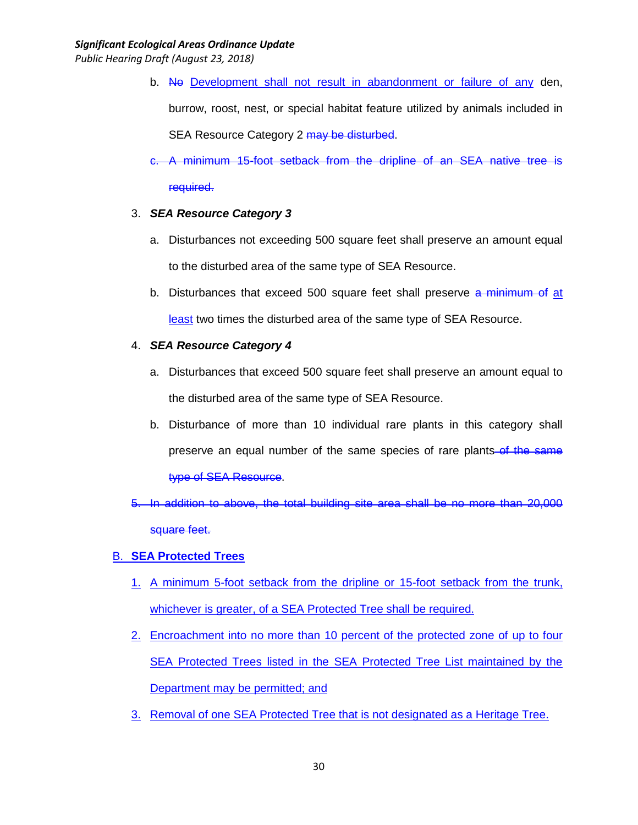- b. No Development shall not result in abandonment or failure of any den, burrow, roost, nest, or special habitat feature utilized by animals included in SEA Resource Category 2 may be disturbed.
- c. A minimum 15-foot setback from the dripline of an SEA native tree is required.

# 3. *SEA Resource Category 3*

- a. Disturbances not exceeding 500 square feet shall preserve an amount equal to the disturbed area of the same type of SEA Resource.
- b. Disturbances that exceed 500 square feet shall preserve a minimum of at least two times the disturbed area of the same type of SEA Resource.

# 4. *SEA Resource Category 4*

- a. Disturbances that exceed 500 square feet shall preserve an amount equal to the disturbed area of the same type of SEA Resource.
- b. Disturbance of more than 10 individual rare plants in this category shall preserve an equal number of the same species of rare plants of the same type of SEA Resource.
- 5. In addition to above, the total building site area shall be no more than 20,000 square feet.

# B. **SEA Protected Trees**

- 1. A minimum 5-foot setback from the dripline or 15-foot setback from the trunk, whichever is greater, of a SEA Protected Tree shall be required.
- 2. Encroachment into no more than 10 percent of the protected zone of up to four SEA Protected Trees listed in the SEA Protected Tree List maintained by the Department may be permitted; and
- 3. Removal of one SEA Protected Tree that is not designated as a Heritage Tree.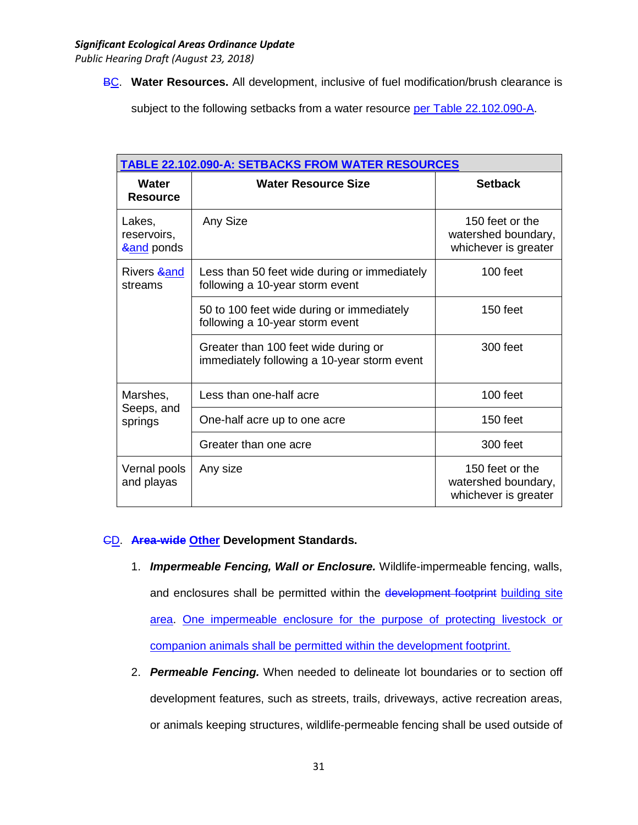**BC. Water Resources.** All development, inclusive of fuel modification/brush clearance is

subject to the following setbacks from a water resource per Table 22.102.090-A.

| <b>TABLE 22.102.090-A: SETBACKS FROM WATER RESOURCES</b> |                                                                                     |                                                                |  |  |
|----------------------------------------------------------|-------------------------------------------------------------------------------------|----------------------------------------------------------------|--|--|
| Water<br><b>Resource</b>                                 | <b>Water Resource Size</b>                                                          | <b>Setback</b>                                                 |  |  |
| Lakes,<br>reservoirs,<br><b>∧</b> ponds                  | Any Size                                                                            | 150 feet or the<br>watershed boundary,<br>whichever is greater |  |  |
| Rivers & and<br>streams                                  | Less than 50 feet wide during or immediately<br>following a 10-year storm event     | 100 feet                                                       |  |  |
|                                                          | 50 to 100 feet wide during or immediately<br>following a 10-year storm event        | $150$ feet                                                     |  |  |
|                                                          | Greater than 100 feet wide during or<br>immediately following a 10-year storm event | 300 feet                                                       |  |  |
| Marshes,<br>Seeps, and<br>springs                        | Less than one-half acre                                                             | 100 feet                                                       |  |  |
|                                                          | One-half acre up to one acre                                                        | 150 feet                                                       |  |  |
|                                                          | Greater than one acre                                                               | 300 feet                                                       |  |  |
| Vernal pools<br>and playas                               | Any size                                                                            | 150 feet or the<br>watershed boundary,<br>whichever is greater |  |  |

# CD. **Area-wide Other Development Standards.**

- 1. *Impermeable Fencing, Wall or Enclosure.* Wildlife-impermeable fencing, walls, and enclosures shall be permitted within the development footprint building site area. One impermeable enclosure for the purpose of protecting livestock or companion animals shall be permitted within the development footprint.
- 2. *Permeable Fencing.* When needed to delineate lot boundaries or to section off development features, such as streets, trails, driveways, active recreation areas, or animals keeping structures, wildlife-permeable fencing shall be used outside of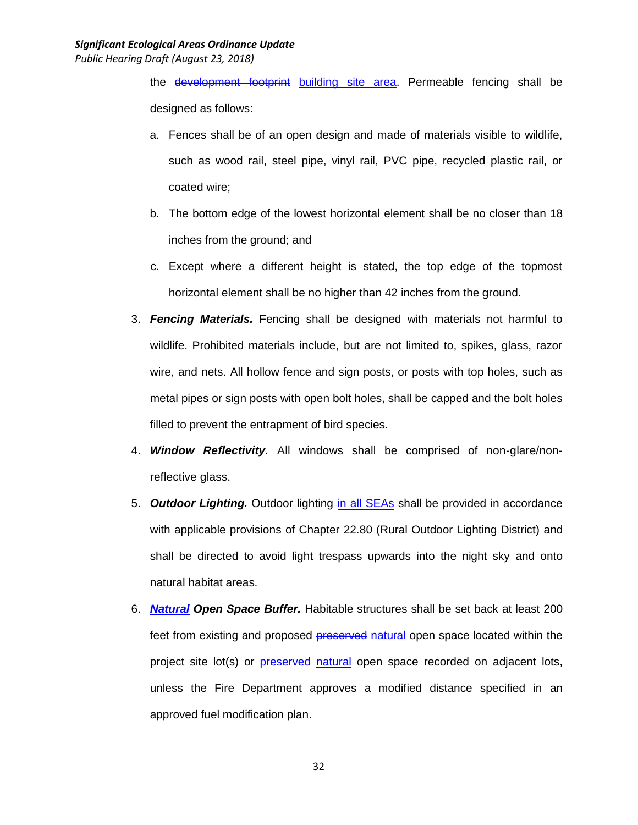the development footprint building site area. Permeable fencing shall be designed as follows:

- a. Fences shall be of an open design and made of materials visible to wildlife, such as wood rail, steel pipe, vinyl rail, PVC pipe, recycled plastic rail, or coated wire;
- b. The bottom edge of the lowest horizontal element shall be no closer than 18 inches from the ground; and
- c. Except where a different height is stated, the top edge of the topmost horizontal element shall be no higher than 42 inches from the ground.
- 3. *Fencing Materials.* Fencing shall be designed with materials not harmful to wildlife. Prohibited materials include, but are not limited to, spikes, glass, razor wire, and nets. All hollow fence and sign posts, or posts with top holes, such as metal pipes or sign posts with open bolt holes, shall be capped and the bolt holes filled to prevent the entrapment of bird species.
- 4. *Window Reflectivity.* All windows shall be comprised of non-glare/nonreflective glass.
- 5. *Outdoor Lighting.* Outdoor lighting in all SEAs shall be provided in accordance with applicable provisions of Chapter 22.80 (Rural Outdoor Lighting District) and shall be directed to avoid light trespass upwards into the night sky and onto natural habitat areas.
- 6. *Natural Open Space Buffer.* Habitable structures shall be set back at least 200 feet from existing and proposed **preserved** natural open space located within the project site lot(s) or **preserved** natural open space recorded on adjacent lots, unless the Fire Department approves a modified distance specified in an approved fuel modification plan.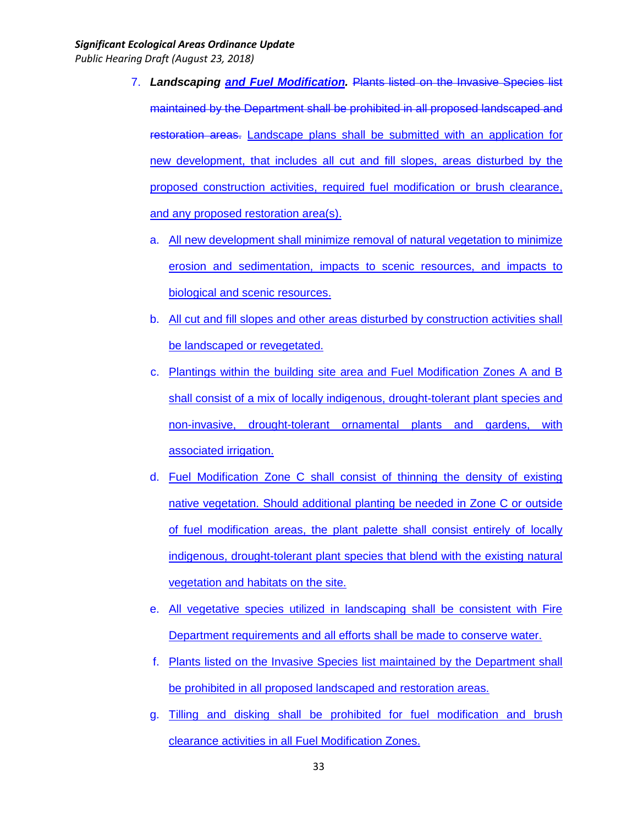- 7. *Landscaping and Fuel Modification.* Plants listed on the Invasive Species list maintained by the Department shall be prohibited in all proposed landscaped and restoration areas. Landscape plans shall be submitted with an application for new development, that includes all cut and fill slopes, areas disturbed by the proposed construction activities, required fuel modification or brush clearance, and any proposed restoration area(s).
	- a. All new development shall minimize removal of natural vegetation to minimize erosion and sedimentation, impacts to scenic resources, and impacts to biological and scenic resources.
	- b. All cut and fill slopes and other areas disturbed by construction activities shall be landscaped or revegetated.
	- c. Plantings within the building site area and Fuel Modification Zones A and B shall consist of a mix of locally indigenous, drought-tolerant plant species and non-invasive, drought-tolerant ornamental plants and gardens, with associated irrigation.
	- d. Fuel Modification Zone C shall consist of thinning the density of existing native vegetation. Should additional planting be needed in Zone C or outside of fuel modification areas, the plant palette shall consist entirely of locally indigenous, drought-tolerant plant species that blend with the existing natural vegetation and habitats on the site.
	- e. All vegetative species utilized in landscaping shall be consistent with Fire Department requirements and all efforts shall be made to conserve water.
	- f. Plants listed on the Invasive Species list maintained by the Department shall be prohibited in all proposed landscaped and restoration areas.
	- g. Tilling and disking shall be prohibited for fuel modification and brush clearance activities in all Fuel Modification Zones.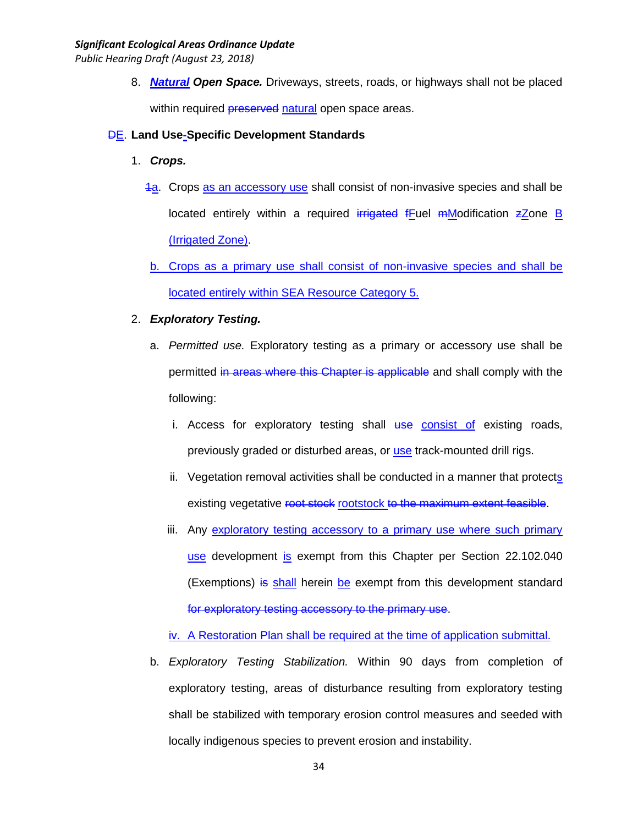*Public Hearing Draft (August 23, 2018)*

8. *Natural Open Space.* Driveways, streets, roads, or highways shall not be placed within required **preserved** natural open space areas.

# DE. **Land Use-Specific Development Standards**

- 1. *Crops.*
	- 1a. Crops as an accessory use shall consist of non-invasive species and shall be located entirely within a required irrigated fFuel  $m$ Modification  $z$ Zone B (Irrigated Zone).
	- b. Crops as a primary use shall consist of non-invasive species and shall be located entirely within SEA Resource Category 5.

### 2. *Exploratory Testing.*

- a. *Permitted use.* Exploratory testing as a primary or accessory use shall be permitted in areas where this Chapter is applicable and shall comply with the following:
	- i. Access for exploratory testing shall use consist of existing roads, previously graded or disturbed areas, or use track-mounted drill rigs.
	- ii. Vegetation removal activities shall be conducted in a manner that protects existing vegetative root stock rootstock to the maximum extent feasible.
	- iii. Any exploratory testing accessory to a primary use where such primary use development is exempt from this Chapter per Section 22.102.040 (Exemptions) is shall herein be exempt from this development standard for exploratory testing accessory to the primary use.

iv. A Restoration Plan shall be required at the time of application submittal.

b. *Exploratory Testing Stabilization.* Within 90 days from completion of exploratory testing, areas of disturbance resulting from exploratory testing shall be stabilized with temporary erosion control measures and seeded with locally indigenous species to prevent erosion and instability.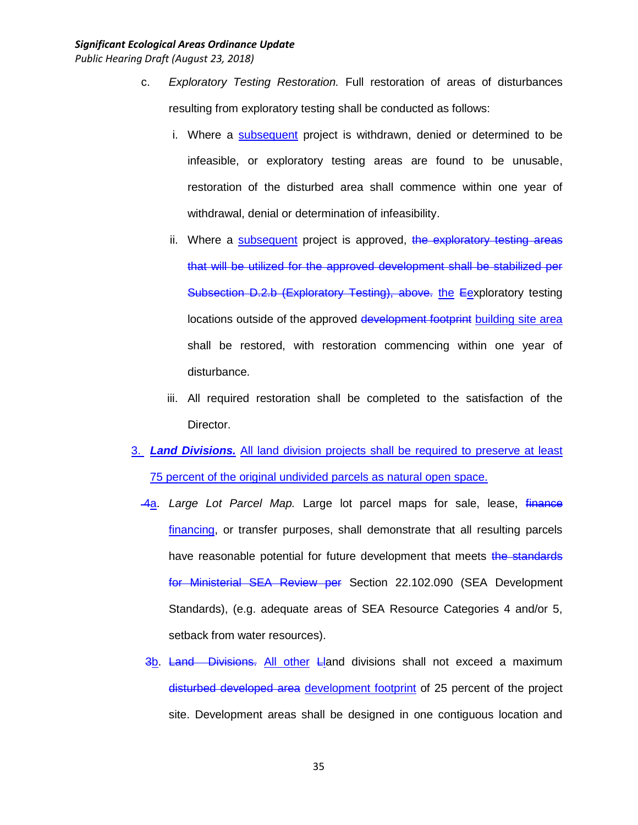- c. *Exploratory Testing Restoration.* Full restoration of areas of disturbances resulting from exploratory testing shall be conducted as follows:
	- i. Where a subsequent project is withdrawn, denied or determined to be infeasible, or exploratory testing areas are found to be unusable, restoration of the disturbed area shall commence within one year of withdrawal, denial or determination of infeasibility.
	- ii. Where a subsequent project is approved, the exploratory testing areas that will be utilized for the approved development shall be stabilized per Subsection D.2.b (Exploratory Testing), above. the Eexploratory testing locations outside of the approved development footprint building site area shall be restored, with restoration commencing within one year of disturbance.
	- iii. All required restoration shall be completed to the satisfaction of the Director.
- 3. *Land Divisions.* All land division projects shall be required to preserve at least 75 percent of the original undivided parcels as natural open space.
	- 4a. *Large Lot Parcel Map.* Large lot parcel maps for sale, lease, finance financing, or transfer purposes, shall demonstrate that all resulting parcels have reasonable potential for future development that meets the standards for Ministerial SEA Review per Section 22.102.090 (SEA Development Standards), (e.g. adequate areas of SEA Resource Categories 4 and/or 5, setback from water resources).
	- 3b. Land Divisions. All other Lland divisions shall not exceed a maximum disturbed developed area development footprint of 25 percent of the project site. Development areas shall be designed in one contiguous location and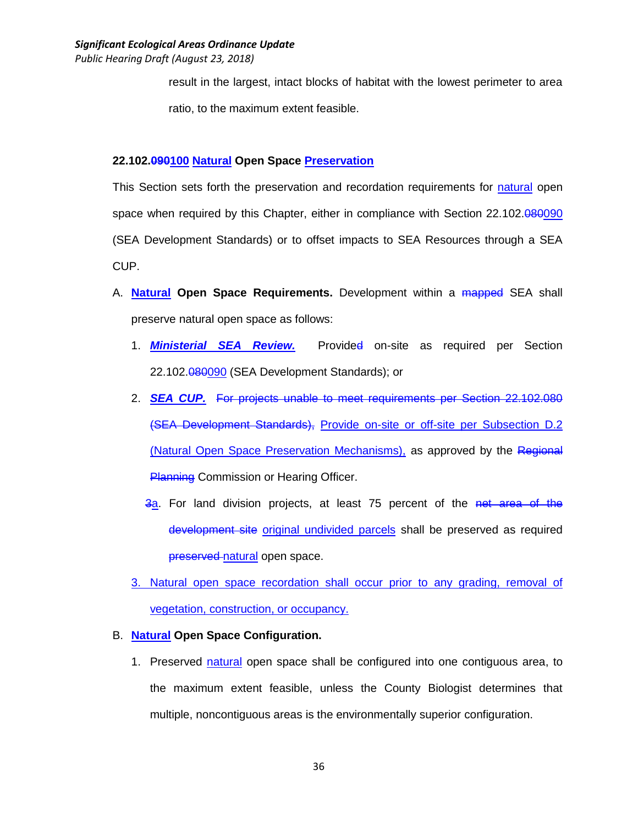result in the largest, intact blocks of habitat with the lowest perimeter to area ratio, to the maximum extent feasible.

# **22.102.090100 Natural Open Space Preservation**

This Section sets forth the preservation and recordation requirements for natural open space when required by this Chapter, either in compliance with Section 22.102.080090 (SEA Development Standards) or to offset impacts to SEA Resources through a SEA CUP.

- A. **Natural Open Space Requirements.** Development within a mapped SEA shall preserve natural open space as follows:
	- 1. *Ministerial SEA Review.* Provided on-site as required per Section 22.102.080090 (SEA Development Standards); or
	- 2. *SEA CUP.* For projects unable to meet requirements per Section 22.102.080 (SEA Development Standards), Provide on-site or off-site per Subsection D.2 (Natural Open Space Preservation Mechanisms), as approved by the Regional **Planning Commission or Hearing Officer.** 
		- 3a. For land division projects, at least 75 percent of the net area of the development site original undivided parcels shall be preserved as required preserved natural open space.
	- 3. Natural open space recordation shall occur prior to any grading, removal of vegetation, construction, or occupancy.

# B. **Natural Open Space Configuration.**

1. Preserved natural open space shall be configured into one contiguous area, to the maximum extent feasible, unless the County Biologist determines that multiple, noncontiguous areas is the environmentally superior configuration.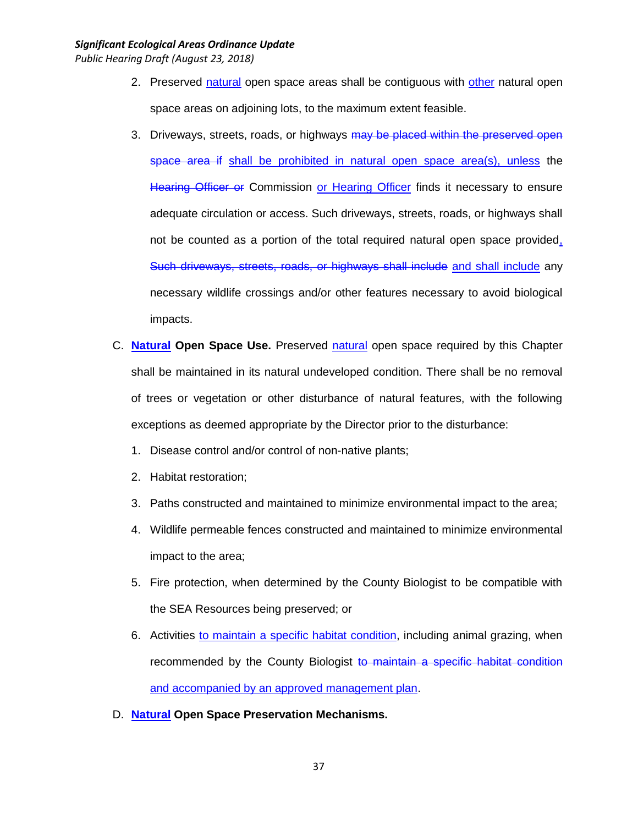- 2. Preserved natural open space areas shall be contiguous with other natural open space areas on adjoining lots, to the maximum extent feasible.
- 3. Driveways, streets, roads, or highways may be placed within the preserved open space area if shall be prohibited in natural open space area(s), unless the Hearing Officer or Commission or Hearing Officer finds it necessary to ensure adequate circulation or access. Such driveways, streets, roads, or highways shall not be counted as a portion of the total required natural open space provided, Such driveways, streets, roads, or highways shall include and shall include any necessary wildlife crossings and/or other features necessary to avoid biological impacts.
- C. **Natural Open Space Use.** Preserved natural open space required by this Chapter shall be maintained in its natural undeveloped condition. There shall be no removal of trees or vegetation or other disturbance of natural features, with the following exceptions as deemed appropriate by the Director prior to the disturbance:
	- 1. Disease control and/or control of non-native plants;
	- 2. Habitat restoration;
	- 3. Paths constructed and maintained to minimize environmental impact to the area;
	- 4. Wildlife permeable fences constructed and maintained to minimize environmental impact to the area;
	- 5. Fire protection, when determined by the County Biologist to be compatible with the SEA Resources being preserved; or
	- 6. Activities to maintain a specific habitat condition, including animal grazing, when recommended by the County Biologist to maintain a specific habitat condition and accompanied by an approved management plan.
- D. **Natural Open Space Preservation Mechanisms.**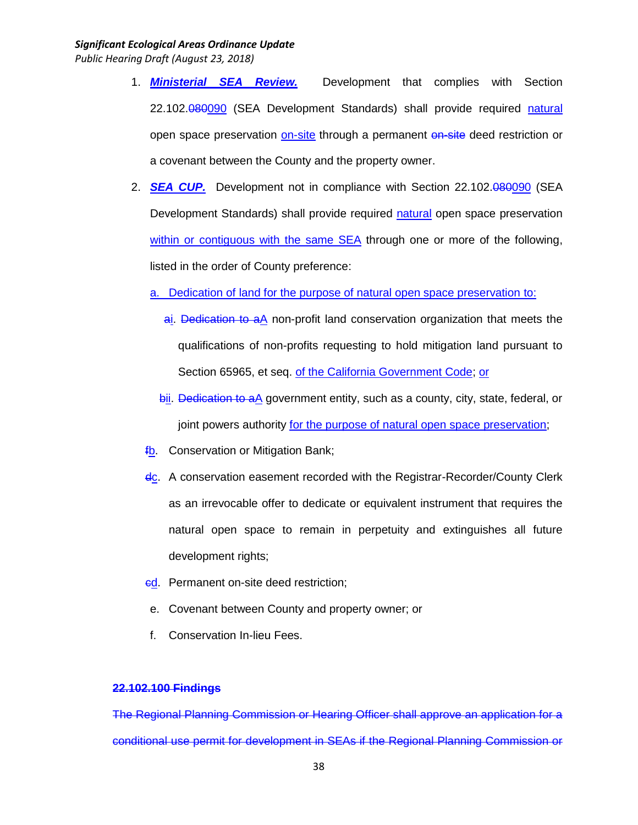*Public Hearing Draft (August 23, 2018)*

- 1. *Ministerial SEA Review.* Development that complies with Section 22.102.080090 (SEA Development Standards) shall provide required natural open space preservation on-site through a permanent on-site deed restriction or a covenant between the County and the property owner.
- 2. **SEA CUP.** Development not in compliance with Section 22.102.080090 (SEA Development Standards) shall provide required natural open space preservation within or contiguous with the same SEA through one or more of the following, listed in the order of County preference:
	- a. Dedication of land for the purpose of natural open space preservation to:
		- ai. Dedication to aA non-profit land conservation organization that meets the qualifications of non-profits requesting to hold mitigation land pursuant to Section 65965, et seq. of the California Government Code; or
		- bii. Dedication to aA government entity, such as a county, city, state, federal, or joint powers authority for the purpose of natural open space preservation;
	- fb. Conservation or Mitigation Bank;
	- dc. A conservation easement recorded with the Registrar-Recorder/County Clerk as an irrevocable offer to dedicate or equivalent instrument that requires the natural open space to remain in perpetuity and extinguishes all future development rights;
	- ed. Permanent on-site deed restriction;
	- e. Covenant between County and property owner; or
	- f. Conservation In-lieu Fees.

### **22.102.100 Findings**

The Regional Planning Commission or Hearing Officer shall approve an application for a conditional use permit for development in SEAs if the Regional Planning Commission or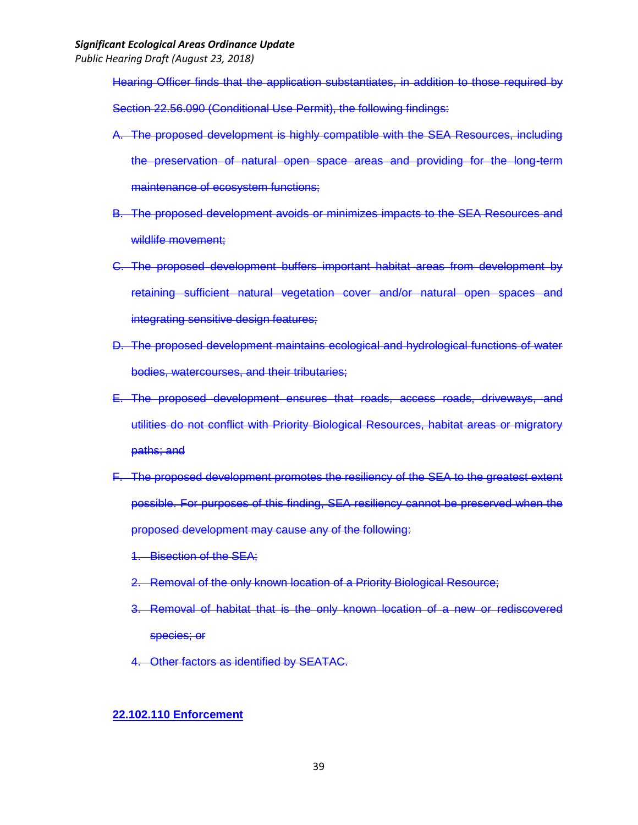*Public Hearing Draft (August 23, 2018)*

Hearing Officer finds that the application substantiates, in addition to those required by Section 22.56.090 (Conditional Use Permit), the following findings:

- A. The proposed development is highly compatible with the SEA Resources, including the preservation of natural open space areas and providing for the long-term maintenance of ecosystem functions;
- B. The proposed development avoids or minimizes impacts to the SEA Resources and wildlife movement;
- C. The proposed development buffers important habitat areas from development by retaining sufficient natural vegetation cover and/or natural open spaces and integrating sensitive design features;
- D. The proposed development maintains ecological and hydrological functions of water bodies, watercourses, and their tributaries;
- E. The proposed development ensures that roads, access roads, driveways, and utilities do not conflict with Priority Biological Resources, habitat areas or migratory paths; and
- F. The proposed development promotes the resiliency of the SEA to the greatest extent possible. For purposes of this finding, SEA resiliency cannot be preserved when the proposed development may cause any of the following:
	- 1. Bisection of the SEA;
	- 2. Removal of the only known location of a Priority Biological Resource;
	- 3. Removal of habitat that is the only known location of a new or rediscovered species; or
	- 4. Other factors as identified by SEATAC.

### **22.102.110 Enforcement**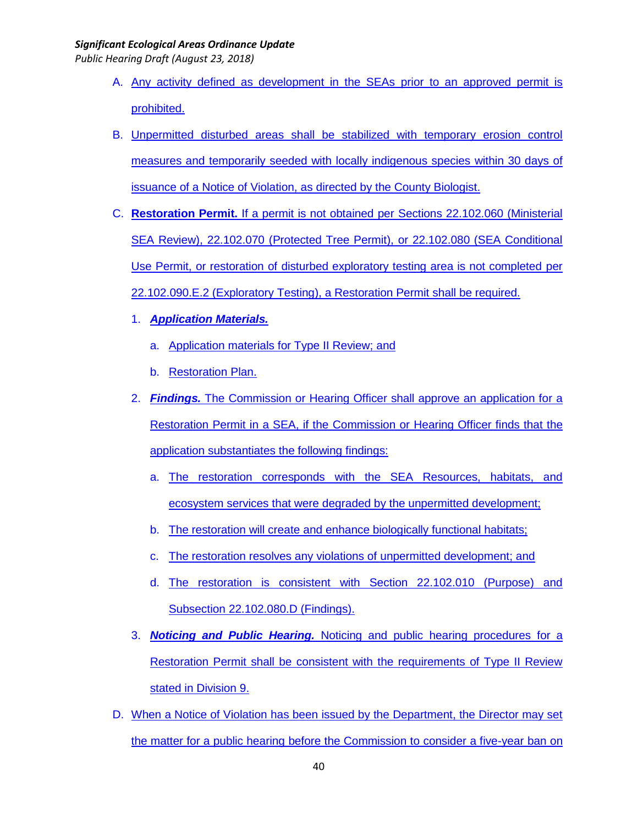- A. Any activity defined as development in the SEAs prior to an approved permit is prohibited.
- B. Unpermitted disturbed areas shall be stabilized with temporary erosion control measures and temporarily seeded with locally indigenous species within 30 days of issuance of a Notice of Violation, as directed by the County Biologist.
- C. **Restoration Permit.** If a permit is not obtained per Sections 22.102.060 (Ministerial SEA Review), 22.102.070 (Protected Tree Permit), or 22.102.080 (SEA Conditional Use Permit, or restoration of disturbed exploratory testing area is not completed per 22.102.090.E.2 (Exploratory Testing), a Restoration Permit shall be required.
	- 1. *Application Materials.*
		- a. Application materials for Type II Review; and
		- b. Restoration Plan.
	- 2. *Findings.* The Commission or Hearing Officer shall approve an application for a Restoration Permit in a SEA, if the Commission or Hearing Officer finds that the application substantiates the following findings:
		- a. The restoration corresponds with the SEA Resources, habitats, and ecosystem services that were degraded by the unpermitted development;
		- b. The restoration will create and enhance biologically functional habitats;
		- c. The restoration resolves any violations of unpermitted development; and
		- d. The restoration is consistent with Section 22.102.010 (Purpose) and Subsection 22.102.080.D (Findings).
	- 3. *Noticing and Public Hearing.* Noticing and public hearing procedures for a Restoration Permit shall be consistent with the requirements of Type II Review stated in Division 9.
- D. When a Notice of Violation has been issued by the Department, the Director may set the matter for a public hearing before the Commission to consider a five-year ban on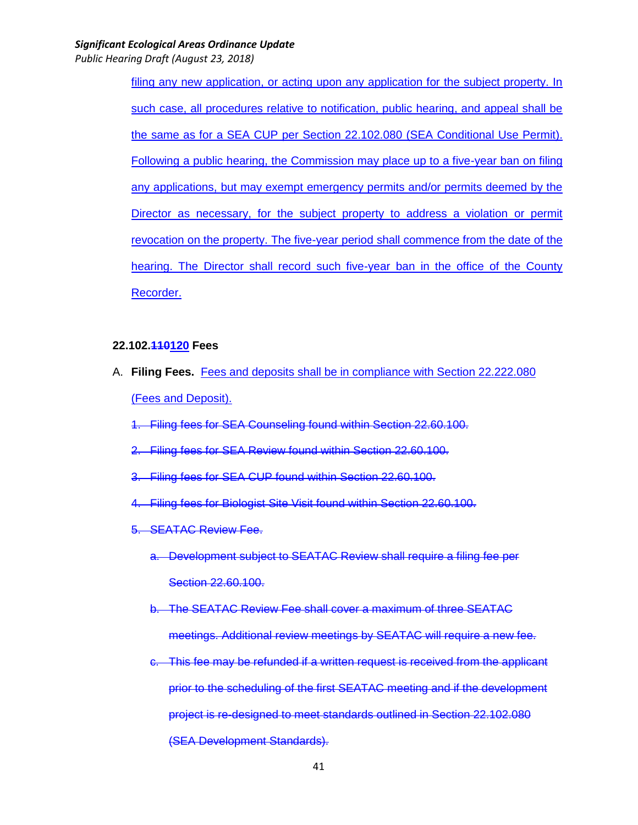*Public Hearing Draft (August 23, 2018)*

filing any new application, or acting upon any application for the subject property. In such case, all procedures relative to notification, public hearing, and appeal shall be the same as for a SEA CUP per Section 22.102.080 (SEA Conditional Use Permit). Following a public hearing, the Commission may place up to a five-year ban on filing any applications, but may exempt emergency permits and/or permits deemed by the Director as necessary, for the subject property to address a violation or permit revocation on the property. The five-year period shall commence from the date of the hearing. The Director shall record such five-year ban in the office of the County Recorder.

#### **22.102.110120 Fees**

- A. **Filing Fees.** Fees and deposits shall be in compliance with Section 22.222.080 (Fees and Deposit).
	- 1. Filing fees for SEA Counseling found within Section 22.60.100.
	- 2. Filing fees for SEA Review found within Section 22.60.100.
	- 3. Filing fees for SEA CUP found within Section 22.60.100.
	- 4. Filing fees for Biologist Site Visit found within Section 22.60.100.
	- 5. SEATAC Review Fee.
		- a. Development subject to SEATAC Review shall require a filing fee per Section 22.60.100.
		- b. The SEATAC Review Fee shall cover a maximum of three SEATAC meetings. Additional review meetings by SEATAC will require a new fee.
		- c. This fee may be refunded if a written request is received from the applicant prior to the scheduling of the first SEATAC meeting and if the development project is re-designed to meet standards outlined in Section 22.102.080 (SEA Development Standards).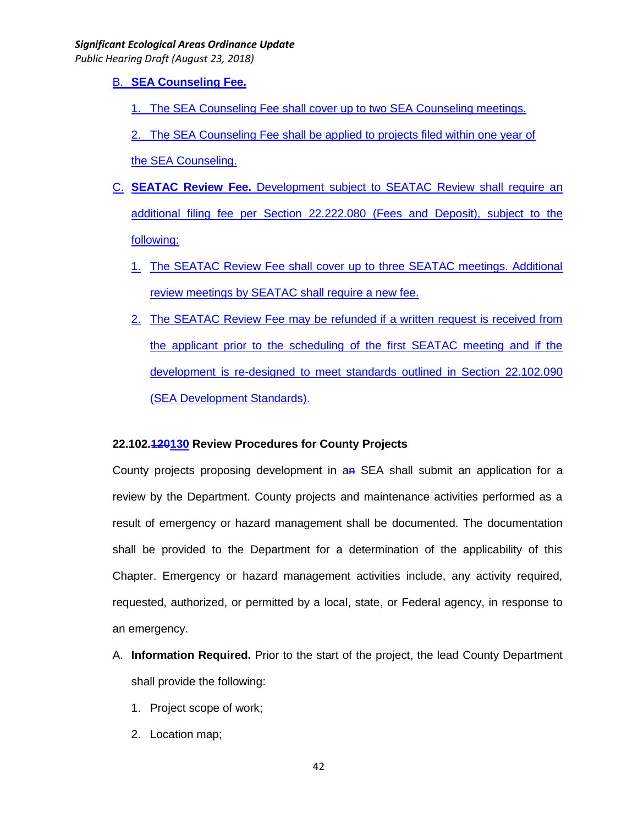*Public Hearing Draft (August 23, 2018)*

B. **SEA Counseling Fee.**

1. The SEA Counseling Fee shall cover up to two SEA Counseling meetings.

2. The SEA Counseling Fee shall be applied to projects filed within one year of the SEA Counseling.

- C. **SEATAC Review Fee.** Development subject to SEATAC Review shall require an additional filing fee per Section 22.222.080 (Fees and Deposit), subject to the following:
	- 1. The SEATAC Review Fee shall cover up to three SEATAC meetings. Additional review meetings by SEATAC shall require a new fee.
	- 2. The SEATAC Review Fee may be refunded if a written request is received from the applicant prior to the scheduling of the first SEATAC meeting and if the development is re-designed to meet standards outlined in Section 22.102.090 (SEA Development Standards).

# **22.102.120130 Review Procedures for County Projects**

County projects proposing development in an SEA shall submit an application for a review by the Department. County projects and maintenance activities performed as a result of emergency or hazard management shall be documented. The documentation shall be provided to the Department for a determination of the applicability of this Chapter. Emergency or hazard management activities include, any activity required, requested, authorized, or permitted by a local, state, or Federal agency, in response to an emergency.

- A. **Information Required.** Prior to the start of the project, the lead County Department shall provide the following:
	- 1. Project scope of work;
	- 2. Location map;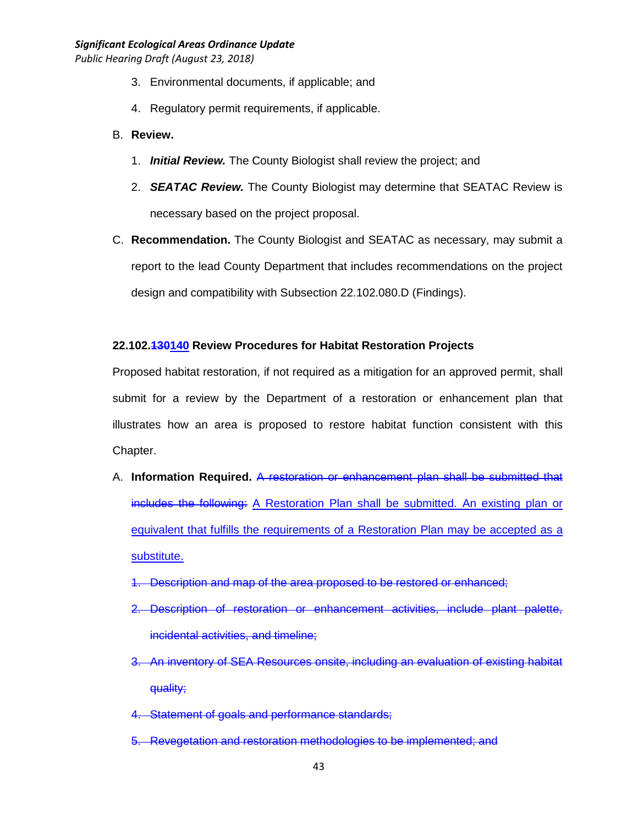*Public Hearing Draft (August 23, 2018)*

- 3. Environmental documents, if applicable; and
- 4. Regulatory permit requirements, if applicable.
- B. **Review.**
	- 1. *Initial Review.* The County Biologist shall review the project; and
	- 2. *SEATAC Review.* The County Biologist may determine that SEATAC Review is necessary based on the project proposal.
- C. **Recommendation.** The County Biologist and SEATAC as necessary, may submit a report to the lead County Department that includes recommendations on the project design and compatibility with Subsection 22.102.080.D (Findings).

### **22.102.130140 Review Procedures for Habitat Restoration Projects**

Proposed habitat restoration, if not required as a mitigation for an approved permit, shall submit for a review by the Department of a restoration or enhancement plan that illustrates how an area is proposed to restore habitat function consistent with this Chapter.

- A. **Information Required.** A restoration or enhancement plan shall be submitted that includes the following: A Restoration Plan shall be submitted. An existing plan or equivalent that fulfills the requirements of a Restoration Plan may be accepted as a substitute.
	- 1. Description and map of the area proposed to be restored or enhanced;
	- 2. Description of restoration or enhancement activities, include plant palette, incidental activities, and timeline;
	- 3. An inventory of SEA Resources onsite, including an evaluation of existing habitat quality;
	- 4. Statement of goals and performance standards;
	- 5. Revegetation and restoration methodologies to be implemented; and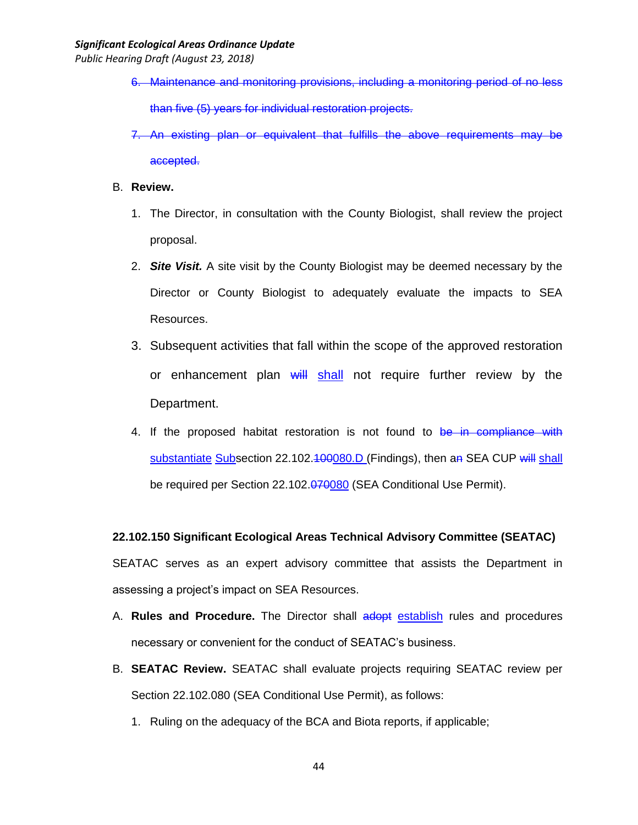*Public Hearing Draft (August 23, 2018)*

- 6. Maintenance and monitoring provisions, including a monitoring period of no less than five (5) years for individual restoration projects.
- 7. An existing plan or equivalent that fulfills the above requirements may be accepted.

### B. **Review.**

- 1. The Director, in consultation with the County Biologist, shall review the project proposal.
- 2. *Site Visit.* A site visit by the County Biologist may be deemed necessary by the Director or County Biologist to adequately evaluate the impacts to SEA Resources.
- 3. Subsequent activities that fall within the scope of the approved restoration or enhancement plan will shall not require further review by the Department.
- 4. If the proposed habitat restoration is not found to be in compliance with substantiate Subsection 22.102.400080.D (Findings), then an SEA CUP will shall be required per Section 22.102.070080 (SEA Conditional Use Permit).

# **22.102.150 Significant Ecological Areas Technical Advisory Committee (SEATAC)**

SEATAC serves as an expert advisory committee that assists the Department in assessing a project's impact on SEA Resources.

- A. **Rules and Procedure.** The Director shall adopt establish rules and procedures necessary or convenient for the conduct of SEATAC's business.
- B. **SEATAC Review.** SEATAC shall evaluate projects requiring SEATAC review per Section 22.102.080 (SEA Conditional Use Permit), as follows:
	- 1. Ruling on the adequacy of the BCA and Biota reports, if applicable;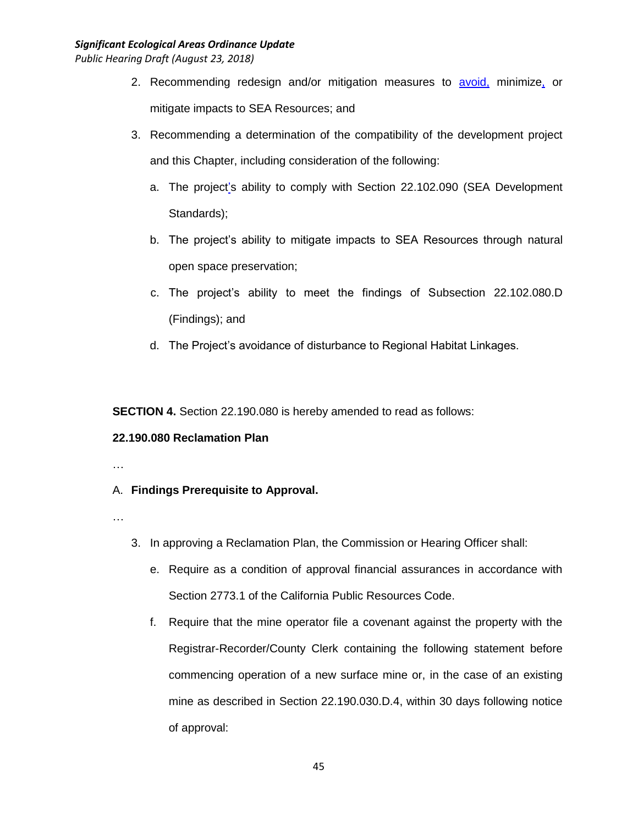*Public Hearing Draft (August 23, 2018)*

- 2. Recommending redesign and/or mitigation measures to avoid, minimize, or mitigate impacts to SEA Resources; and
- 3. Recommending a determination of the compatibility of the development project and this Chapter, including consideration of the following:
	- a. The project's ability to comply with Section 22.102.090 (SEA Development Standards);
	- b. The project's ability to mitigate impacts to SEA Resources through natural open space preservation;
	- c. The project's ability to meet the findings of Subsection 22.102.080.D (Findings); and
	- d. The Project's avoidance of disturbance to Regional Habitat Linkages.

**SECTION 4.** Section 22.190.080 is hereby amended to read as follows:

# **22.190.080 Reclamation Plan**

…

# A. **Findings Prerequisite to Approval.**

- …
- 3. In approving a Reclamation Plan, the Commission or Hearing Officer shall:
	- e. Require as a condition of approval financial assurances in accordance with Section 2773.1 of the California Public Resources Code.
	- f. Require that the mine operator file a covenant against the property with the Registrar-Recorder/County Clerk containing the following statement before commencing operation of a new surface mine or, in the case of an existing mine as described in Section 22.190.030.D.4, within 30 days following notice of approval: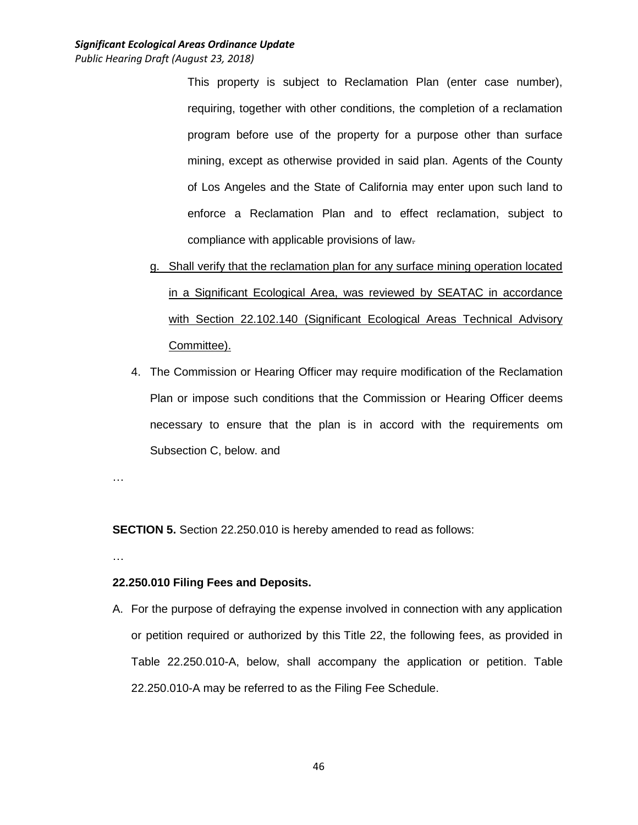This property is subject to Reclamation Plan (enter case number), requiring, together with other conditions, the completion of a reclamation program before use of the property for a purpose other than surface mining, except as otherwise provided in said plan. Agents of the County of Los Angeles and the State of California may enter upon such land to enforce a Reclamation Plan and to effect reclamation, subject to compliance with applicable provisions of law.

- g. Shall verify that the reclamation plan for any surface mining operation located in a Significant Ecological Area, was reviewed by SEATAC in accordance with Section 22.102.140 (Significant Ecological Areas Technical Advisory Committee).
- 4. The Commission or Hearing Officer may require modification of the Reclamation Plan or impose such conditions that the Commission or Hearing Officer deems necessary to ensure that the plan is in accord with the requirements om Subsection C, below. and

…

**SECTION 5.** Section 22.250.010 is hereby amended to read as follows:

…

# **22.250.010 Filing Fees and Deposits.**

A. For the purpose of defraying the expense involved in connection with any application or petition required or authorized by this Title 22, the following fees, as provided in Table 22.250.010-A, below, shall accompany the application or petition. Table 22.250.010-A may be referred to as the Filing Fee Schedule.